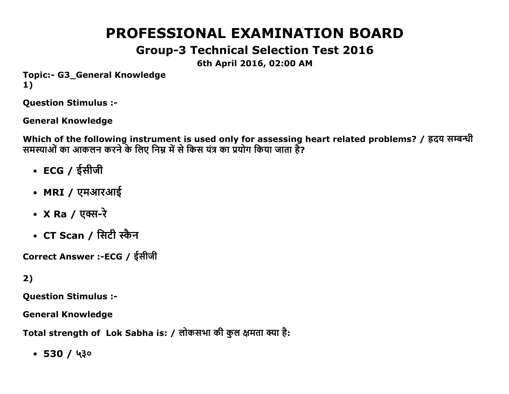# **PROFESSIONAL EXAMINATION BOARD**

# **Group-3 Technical Selection Test 2016**

6th April 2016, 02:00 AM

**Topic:- G3 General Knowledge**  $1)$ 

**Question Stimulus :-**

**General Knowledge** 

Which of the following instrument is used only for assessing heart related problems? / ह्रदय सम्बन्धी समस्याओं का आकलन करने के लिए निम्न में से किस यंत्र का प्रयोग किया जाता है?

- ECG / ईसीजी
- MRI / एमआरआई
- X Ra / एक्स-रे
- $CT$  Scan / सिटी स्कैन

Correct Answer :-ECG / ईसीजी

 $2)$ 

**Ouestion Stimulus :-**

**General Knowledge** 

Total strength of Lok Sabha is: / लोकसभा की कुल क्षमता क्या है:

 $-530/430$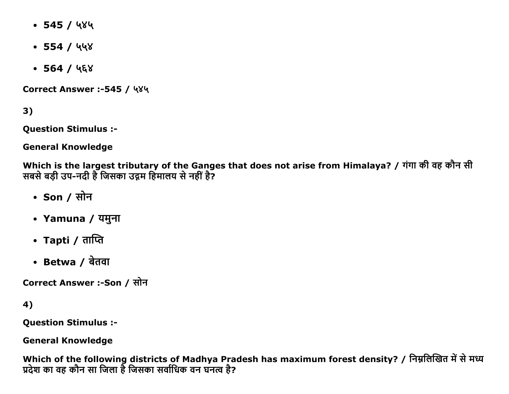- $\cdot$  545 / ५४५
- $\cdot$  554 / ५५४
- $\bullet$  564 / ५६४

Correct Answer :-545 / ५४५

 $3)$ 

**Question Stimulus :-**

**General Knowledge** 

Which is the largest tributary of the Ganges that does not arise from Himalaya? / गंगा की वह कौन सी सबसे बड़ी उप-नदी है जिसका उद्गम हिमालय से नहीं है?

- Son / सोन
- Yamuna / यमुना
- Tapti / ताप्ति
- Betwa / बेतवा

Correct Answer :-Son / सोन

4)

**Question Stimulus :-**

**General Knowledge** 

Which of the following districts of Madhya Pradesh has maximum forest density? / निम्नलिखित में से मध्य प्रदेश का वह कौन सा जिला है जिसका सर्वाधिक वन घनत्व है?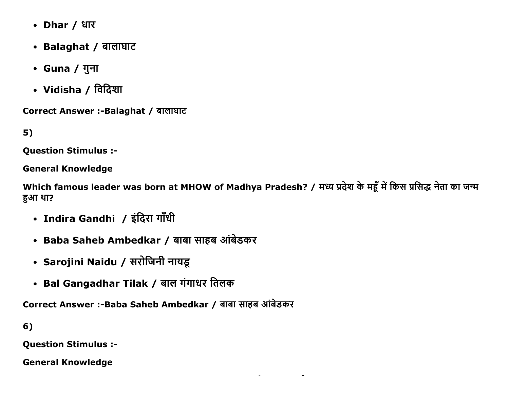- Dhar / धार
- Balaghat / बालाघाट
- Guna / गुना
- Vidisha / विदिशा

Correct Answer :- Balaghat / बालाघाट

 $5)$ 

**Question Stimulus :-**

**General Knowledge** 

Which famous leader was born at MHOW of Madhya Pradesh? / मध्य प्रदेश के महूँ में किस प्रसिद्ध नेता का जन्म हुआ था?

- Indira Gandhi / इंदिरा गाँधी
- Baba Saheb Ambedkar / बाबा साहब आंबेडकर
- Sarojini Naidu / सरोजिनी नायडू
- Bal Gangadhar Tilak / बाल गंगाधर तिलक

Correct Answer :-Baba Saheb Ambedkar / बाबा साहब आंबेडकर

 $6)$ 

**Question Stimulus :-**

**General Knowledge**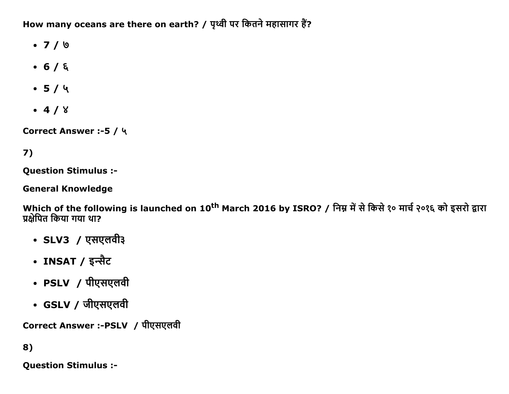How many oceans are there on earth? / पृथ्वी पर कितने महासागर हैं?

- $\bullet$  7 / 0
- $-6/5$
- $-5/4$
- $-4/8$

Correct Answer :- 5 / ५

# 7)

**Question Stimulus :-**

**General Knowledge** 

Which of the following is launched on 10<sup>th</sup> March 2016 by ISRO? / निम्न में से किसे १० मार्च २०१६ को इसरो द्वारा प्रक्षेपित किया गया था?

- SLV3 / एसएलवी३
- INSAT / इन्सैट
- PSLV / पीएसएलवी
- GSLV / जीएसएलवी

Correct Answer :-PSLV / पीएसएलवी

8)

**Question Stimulus :-**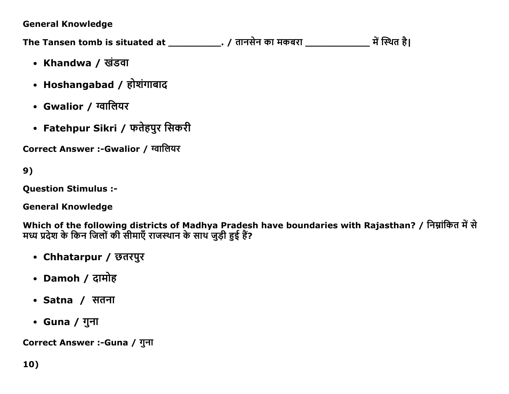### **General Knowledge**

The Tansen tomb is situated at \_\_\_\_\_\_\_\_\_\_\_\_\_. / तानसेन का मकबरा \_\_\_\_\_\_\_\_\_\_\_\_\_\_\_ में स्थित है।

- Khandwa / खंडवा
- Hoshangabad / होशंगाबाद
- Gwalior / ग्वालियर
- Fatehpur Sikri / फतेहपुर सिकरी

Correct Answer :-Gwalior / ग्वालियर

9)

**Ouestion Stimulus :-**

**General Knowledge** 

Which of the following districts of Madhya Pradesh have boundaries with Rajasthan? / निम्नांकित में से मध्य प्रदेश के किन जिलों की सीमाएँ राजस्थान के साथ जुड़ी हुई हैं?

- Chhatarpur / छतरपुर
- Damoh / दामोह
- Satna / सतना
- Guna / गुना

Correct Answer :-Guna / गुना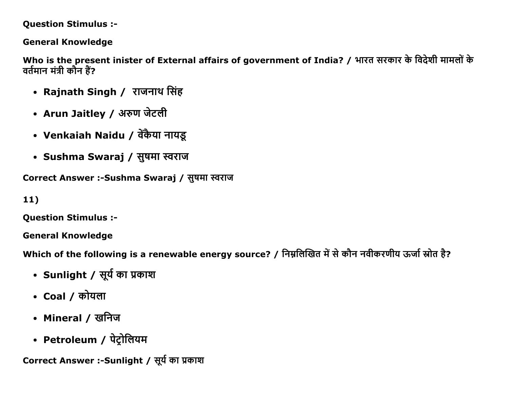**Question Stimulus :-**

**General Knowledge** 

Who is the present inister of External affairs of government of India? / भारत सरकार के विदेशी मामलों के वर्तमान मंत्री कौन हैं?

- Rajnath Singh / राजनाथ सिंह
- Arun Jaitley / अरुण जेटली
- Venkaiah Naidu / वेंकैया नायडू
- Sushma Swaraj / सुषमा स्वराज

Correct Answer :-Sushma Swaraj / सुषमा स्वराज

 $11)$ 

**Question Stimulus :-**

**General Knowledge** 

Which of the following is a renewable energy source? / निम्नलिखित में से कौन नवीकरणीय ऊर्जा स्रोत है?

- Sunlight / सूर्य का प्रकाश
- Coal / कोयला
- Mineral / खनिज
- Petroleum / पेट्रोलियम

Correct Answer :-Sunlight / सूर्य का प्रकाश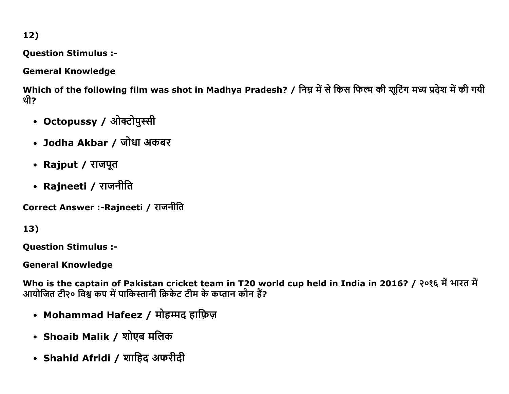$12)$ 

**Question Stimulus :-**

**Gemeral Knowledge** 

Which of the following film was shot in Madhya Pradesh? / निम्न में से किस फिल्म की शूटिंग मध्य प्रदेश में की गयी थी?

- Octopussy / ओक्टोपुस्सी
- Jodha Akbar / जोधा अकबर
- Rajput / राजपूत
- Rajneeti / राजनीति

Correct Answer :-Rajneeti / राजनीति

13)

**Question Stimulus :-**

**General Knowledge** 

Who is the captain of Pakistan cricket team in T20 world cup held in India in 2016? / २०१६ में भारत में आयोजित टी२० विश्व कप में पाकिस्तानी क्रिकेट टीम के कप्तान कौन हैं?

- Mohammad Hafeez / मोहम्मद हाफ़िज़
- Shoaib Malik / शोएब मलिक
- Shahid Afridi / शाहिद अफरीदी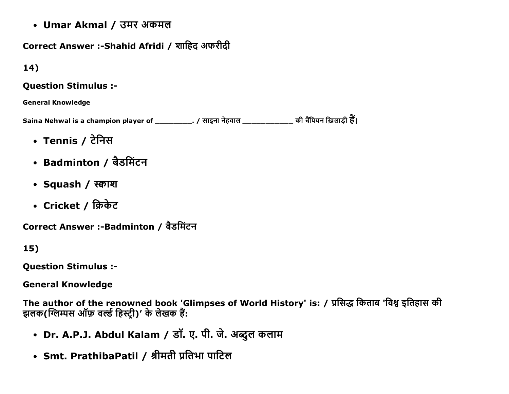• Umar Akmal / उमर अकमल

# Correct Answer :- Shahid Afridi / शाहिद अफरीदी

## $14)$

#### **Question Stimulus :-**

#### **General Knowledge**

Saina Nehwal is a champion player of \_\_\_\_\_\_\_\_\_. / साइना नेहवाल \_\_\_\_\_\_\_\_\_\_\_\_\_\_ की चैंपियन ख़िलाड़ी हैं।

- Tennis / टेनिस
- Badminton / बैडमिंटन
- Squash / स्काश
- Cricket / क्रिकेट

Correct Answer :-Badminton / बैडमिंटन

# 15)

**Question Stimulus :-**

**General Knowledge** 

The author of the renowned book 'Glimpses of World History' is: / प्रसिद्ध किताब 'विश्व इतिहास की झलक(ग्लिम्पस ऑफ़ वर्ल्ड हिस्ट्री)' के लेखक हैं:

- Dr. A.P.J. Abdul Kalam / डॉ. ए. पी. जे. अब्दुल कलाम
- Smt. PrathibaPatil / श्रीमती प्रतिभा पाटिल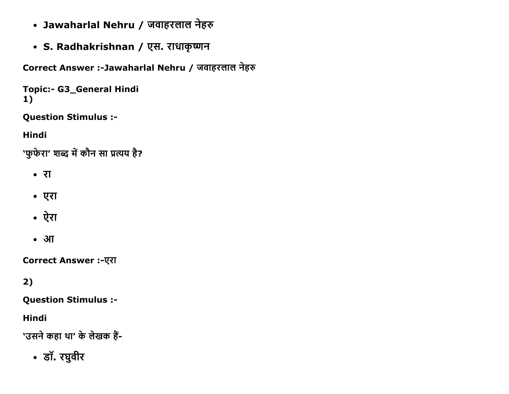- Jawaharlal Nehru / जवाहरलाल नेहरु
- S. Radhakrishnan / एस. राधाकृष्णन

Correct Answer :-Jawaharlal Nehru / जवाहरलाल नेहरु

```
Topic:- G3_General Hindi
1)
```
**Question Stimulus :-**

**Hindi** 

'फुफेरा' शब्द में कौन सा प्रत्यय है?

- रा
- एरा
- ऐरा
- $\bullet$  3 $\Pi$

**Correct Answer :-एरा** 

# $2)$

**Question Stimulus :-**

**Hindi** 

'उसने कहा था' के लेखक हैं-

• डॉ. रघुवीर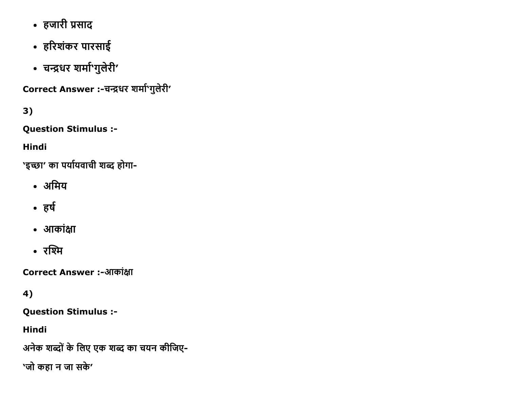- हजारी प्रसाद
- हरिशंकर पारसाई
- चन्द्रधर शर्मा'गुलेरी'

Correct Answer :-चन्द्रधर शर्मा'गुलेरी'

 $3)$ 

**Question Stimulus :-**

**Hindi** 

'इच्छा' का पर्यायवाची शब्द होगा-

- अमिय
- हर्ष
- आकांक्षा
- रश्मि

Correct Answer :-आकांक्षा

4)

**Question Stimulus :-**

**Hindi** 

अनेक शब्दों के लिए एक शब्द का चयन कीजिए-

'जो कहा न जा सके'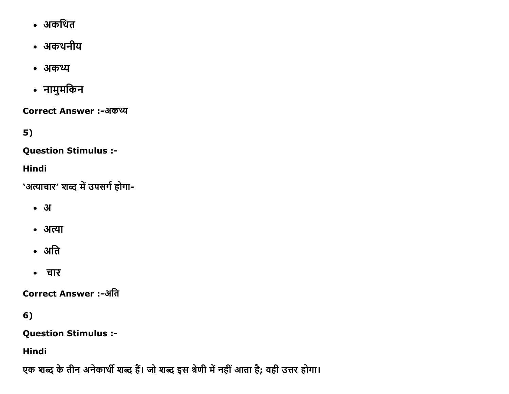- अकथित
- अकथनीय
- अकथ्य
- नामुमकिन

Correct Answer :-अकथ्य

 $5)$ 

**Question Stimulus :-**

Hindi

'अत्याचार' शब्द में उपसर्ग होगा-

- $\bullet$  3
- अत्या
- अति
- चार

Correct Answer :-अति

6)

**Question Stimulus :-**

Hindi

एक शब्द के तीन अनेकार्थी शब्द हैं। जो शब्द इस श्रेणी में नहीं आता है; वही उत्तर होगा।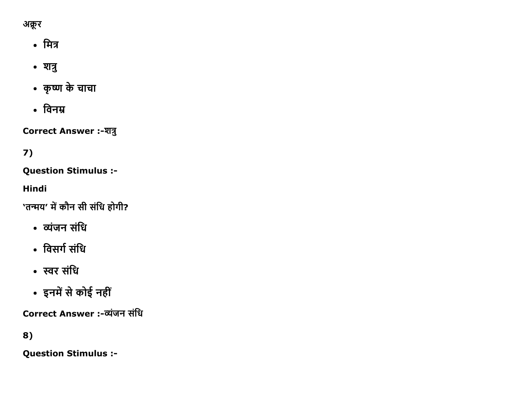

- मित्र
- शत्रु
- कृष्ण के चाचा
- विनम्र

**Correct Answer :- शत्रु** 

# 7)

**Question Stimulus :-**

**Hindi** 

'तन्मय' में कौन सी संधि होगी?

- व्यंजन संधि
- विसर्ग संधि
- स्वर संधि
- इनमें से कोई नहीं

Correct Answer :-व्यंजन संधि

# 8)

**Question Stimulus :-**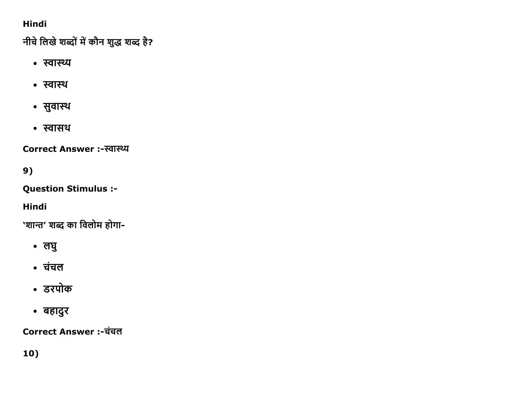# **Hindi**

नीचे लिखे शब्दों में कौन शुद्ध शब्द है?

- स्वास्थ्य
- स्वास्थ
- सुवास्थ
- स्वासथ

Correct Answer :-स्वास्थ्य

9)

**Question Stimulus :-**

**Hindi** 

'शान्त' शब्द का विलोम होगा-

- लघु
- चंचल
- डरपोक
- बहादुर

Correct Answer :-चंचल

10)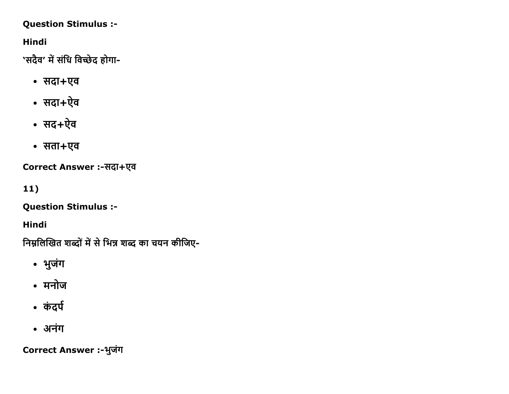### **Question Stimulus :-**

**Hindi** 

'सदैव' में संधि विच्छेद होगा-

- सदा+एव
- सदा+ऐव
- सद+ऐव
- सता+एव

Correct Answer :-सदा+एव

 $11)$ 

**Question Stimulus :-**

**Hindi** 

निम्नलिखित शब्दों में से भिन्न शब्द का चयन कीजिए-

- भुजंग
- मनोज
- कंदर्प
- अनंग

Correct Answer :-भुजंग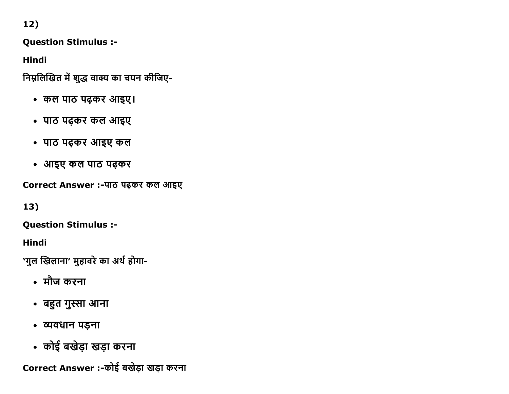$12)$ 

**Question Stimulus :-**

**Hindi** 

निम्नलिखित में शुद्ध वाक्य का चयन कीजिए-

- कल पाठ पढ़कर आइए।
- पाठ पढ़कर कल आइए
- पाठ पढ़कर आइए कल
- आइए कल पाठ पढ़कर

Correct Answer :-पाठ पढ़कर कल आइए

13)

**Question Stimulus :-**

Hindi

`गुल खिलाना' मुहावरे का अर्थ होगा-

- मौज करना
- बहुत गुस्सा आना
- व्यवधान पड़ना
- कोई बखेड़ा खड़ा करना

Correct Answer :- कोई बखेड़ा खड़ा करना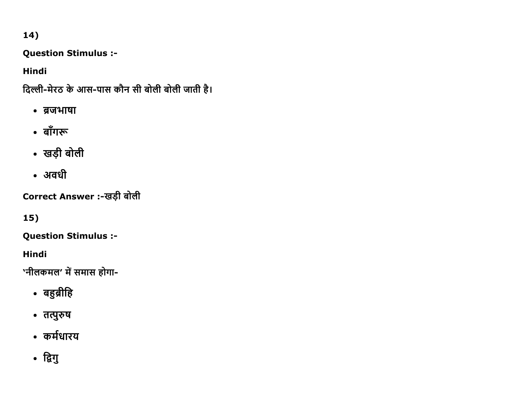# 14)

Question Stimulus :

Hindi

दिल्ली-मेरठ के आस-पास कौन सी बोली बोली जाती है।

- ब्रजभाषा
- बाँगरू
- खड़ी बोली
- अवधी

Correct Answer :-खड़ी बोली

15)

Question Stimulus :

Hindi

'नीलकमल' में समास होगा-

- बहुब्रीहि
- तत्पुरुष
- कर्मधारय
- द्विगु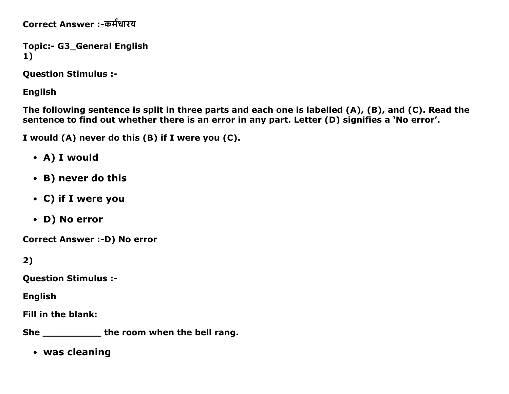Correct Answer :-कर्मधारय

```
Topic:- G3_General English
1)
```
Question Stimulus :

English

The following sentence is split in three parts and each one is labelled (A), (B), and (C). Read the sentence to find out whether there is an error in any part. Letter (D) signifies a 'No error'.

I would (A) never do this (B) if I were you (C).

- A) I would
- B) never do this
- C) if I were you
- D) No error

Correct Answer :- D) No error

2)

Question Stimulus :

English

Fill in the blank:

She \_\_\_\_\_\_\_\_\_\_\_\_\_\_ the room when the bell rang.

was cleaning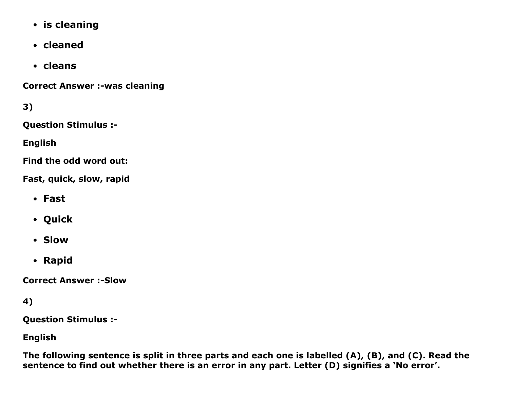- is cleaning
- cleaned
- cleans

**Correct Answer :-was cleaning** 

3)

Question Stimulus :

English

Find the odd word out:

Fast, quick, slow, rapid

- Fast
- Quick
- Slow
- Rapid

**Correct Answer :- Slow** 

4)

Question Stimulus :

English

The following sentence is split in three parts and each one is labelled (A), (B), and (C). Read the sentence to find out whether there is an error in any part. Letter (D) signifies a 'No error'.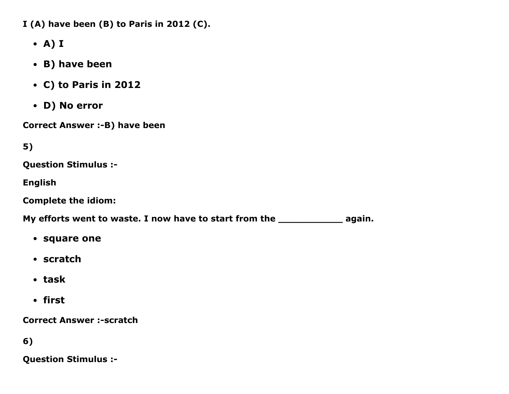I (A) have been (B) to Paris in 2012 (C).

- A) I
- B) have been
- C) to Paris in 2012
- D) No error

Correct Answer :- B) have been

5)

Question Stimulus :

English

Complete the idiom:

My efforts went to waste. I now have to start from the \_\_\_\_\_\_\_\_\_\_\_\_\_\_\_\_\_\_\_\_\_\_\_\_\_ again.

- square one
- scratch
- task
- first

**Correct Answer :-scratch** 

6)

Question Stimulus :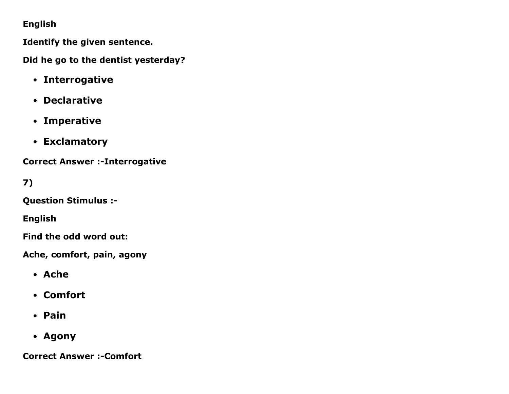### English

Identify the given sentence.

Did he go to the dentist yesterday?

- Interrogative
- Declarative
- Imperative
- Exclamatory

**Correct Answer :- Interrogative** 

# 7)

Question Stimulus :

English

Find the odd word out:

Ache, comfort, pain, agony

- Ache
- Comfort
- Pain
- Agony

**Correct Answer :- Comfort**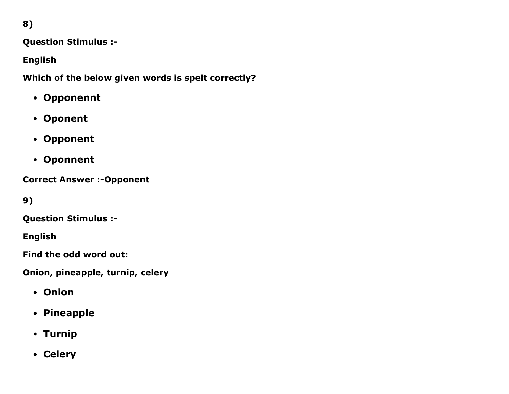8)

Question Stimulus :

English

Which of the below given words is spelt correctly?

- Opponennt
- Oponent
- Opponent
- Oponnent

**Correct Answer :- Opponent** 

9)

Question Stimulus :

English

Find the odd word out:

Onion, pineapple, turnip, celery

- Onion
- Pineapple
- Turnip
- Celery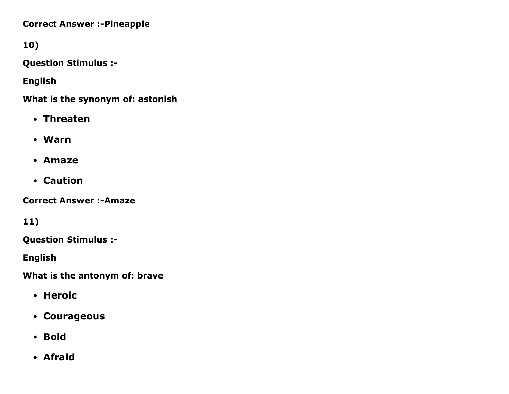**Correct Answer :- Pineapple** 

10)

Question Stimulus :

English

What is the synonym of: astonish

- Threaten
- Warn
- Amaze
- Caution

**Correct Answer :- Amaze** 

11)

Question Stimulus :

English

What is the antonym of: brave

- Heroic
- Courageous
- Bold
- Afraid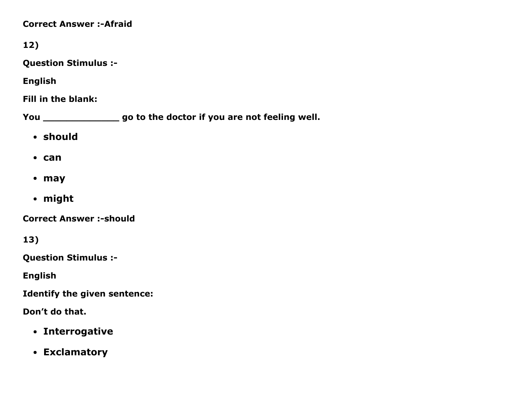### **Correct Answer :- Afraid**

12)

Question Stimulus :

English

Fill in the blank:

You \_\_\_\_\_\_\_\_\_\_\_\_\_\_\_\_\_\_\_ go to the doctor if you are not feeling well.

- should
- can
- may
- might

**Correct Answer :- should** 

13)

Question Stimulus :

English

Identify the given sentence:

Don't do that.

- Interrogative
- Exclamatory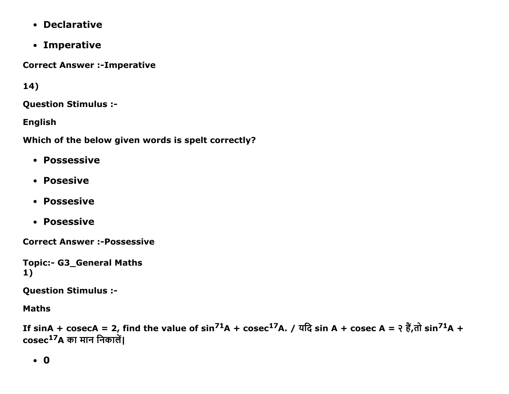- Declarative
- Imperative

**Correct Answer :- Imperative** 

14)

**Question Stimulus :-**

**English** 

Which of the below given words is spelt correctly?

- Possessive
- Posesive
- Possesive
- Posessive

**Correct Answer :- Possessive** 

```
Topic:- G3 General Maths
1)
```
**Question Stimulus :-**

**Maths** 

If sinA + cosecA = 2, find the value of  $sin^{71}A + cosec^{17}A$ . / यदि sin A + cosec A = २ हैं,तो  $sin^{71}A +$  $\mathbf{cosec}^{17}$ A का मान निकालें।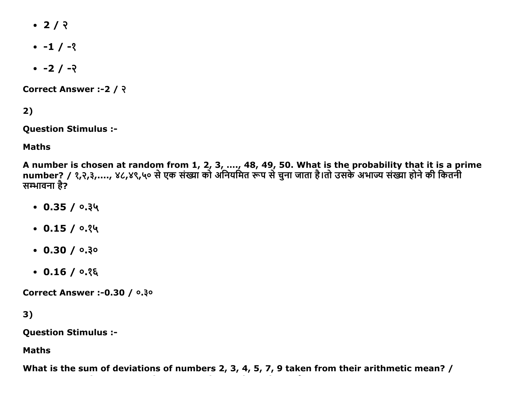- $\cdot$  2/  $\sqrt{2}$
- $-1/2$
- $-2/ -2$

Correct Answer :- 2 / ?

 $2)$ 

**Question Stimulus :-**

**Maths** 

A number is chosen at random from 1, 2, 3, ...., 48, 49, 50. What is the probability that it is a prime number? / १,२,३,...., ४८,४९,५० से एक संख्या को अनियमित रूप से चुना जाता है।तो उसके अभाज्य संख्या होने की कितनी सम्भावना है?

- $\cdot$  0.35 / 0.34
- $\cdot$  0.15 / 0.34
- $\cdot$  0.30 / 0.30
- $\cdot$  0.16 / 0.25

**Correct Answer :- 0.30 / 0.30** 

 $3)$ 

**Question Stimulus :-**

**Maths** 

What is the sum of deviations of numbers 2, 3, 4, 5, 7, 9 taken from their arithmetic mean? /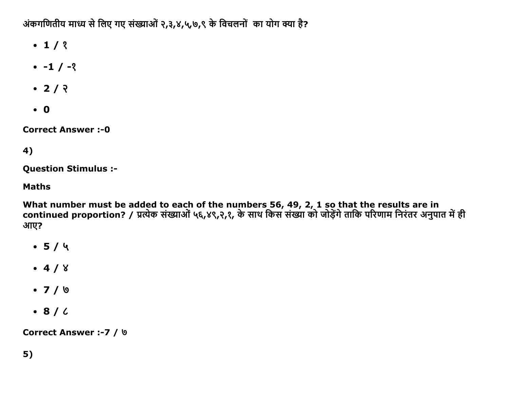अंकगणितीय माध्य से लिए गए संख्याओं २,३,४,५,७,९ के विचलनों का योग क्या है?

- $\cdot$  1/ ?
- $-1 / -2$
- $\cdot$  2/  $\sqrt{2}$
- $\bullet$  0

**Correct Answer:-0** 

# 4)

**Question Stimulus :-**

### **Maths**

What number must be added to each of the numbers 56, 49, 2, 1 so that the results are in<br>continued proportion? / प्रत्येक संख्याओं ५६,४९,२,१, के साथ किस संख्या को जोड़ेंगे ताकि परिणाम निरंतर अनुपात में ही आए?

- $-5/4$
- $-4/8$
- $\bullet$  7 / 0
- $\bullet$  8/6

Correct Answer :- 7 / 9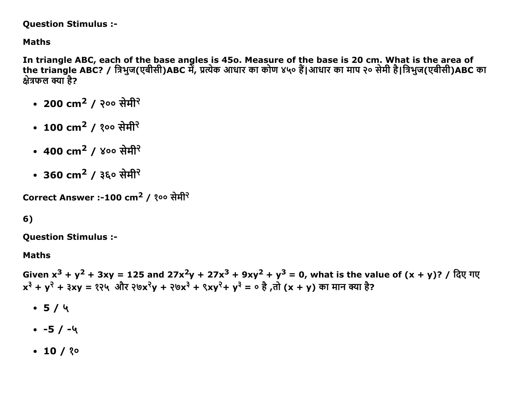**Question Stimulus :-**

**Maths** 

In triangle ABC, each of the base angles is 450. Measure of the base is 20 cm. What is the area of the triangle ABC? / त्रिभुज(एबीसी)ABC में, प्रत्येक आधार का कोण ४५० हैं।आधार का माप २० सेमी है।त्रिभुज(एबीसी)ABC का क्षेत्रफल क्या है?

- 200  $\rm cm^2$  / २०० सेमी<sup>२</sup>
- 100 cm<sup>2</sup> / १०० सेमी<sup>२</sup>
- 400  $\rm cm^2$  / ४०० सेमी<sup>२</sup>
- 360 cm<sup>2</sup> / ३६० सेमी<sup>२</sup>

```
Correct Answer :-100 cm<sup>2</sup> / १०० सेमी<sup>२</sup>
```
# $6)$

**Question Stimulus :-**

#### **Maths**

Given  $x^3 + y^2 + 3xy = 125$  and  $27x^2y + 27x^3 + 9xy^2 + y^3 = 0$ , what is the value of  $(x + y)$ ? / दिए गए  $x^{3} + y^{2} + 3xy = 224$  और  $20x^{2}y + 20x^{3} + 2xy^{2} + y^{3} = 0$  है, तो  $(x + y)$  का मान क्या है?

- $-5/4$
- $-5/4$
- $\cdot$  10 / ? $\circ$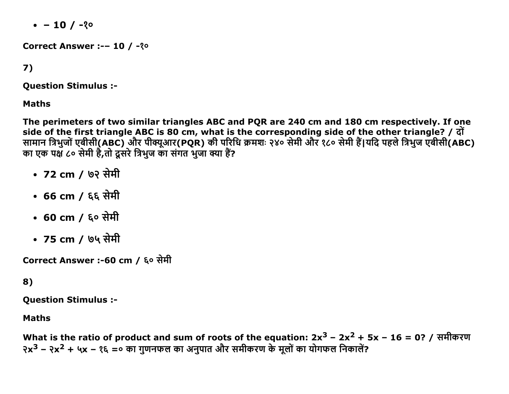$-10/20$ 

Correct Answer :-- 10 / -? 0

# 7)

**Question Stimulus :-**

**Maths** 

The perimeters of two similar triangles ABC and PQR are 240 cm and 180 cm respectively. If one side of the first triangle ABC is 80 cm, what is the corresponding side of the other triangle? / दों सामान त्रिभुजों एबीसी(ABC) और पीक्यूआर(PQR) की परिधि क्रमशः २४० सेमी और १८० सेमी हैं।यदि पहले त्रिभुज एबीसी(ABC) का एक पक्ष ८० सेमी है.तो दसरे त्रिभज का संगत भजा क्या हैं?

- 72 cm / ७२ सेमी
- 66 cm / ६६ सेमी
- 60 cm / ६० सेमी
- 75 cm / ७५ सेमी

Correct Answer :-60 cm / ६० सेमी

### 8)

**Question Stimulus :-**

### **Maths**

What is the ratio of product and sum of roots of the equation:  $2x^3 - 2x^2 + 5x - 16 = 0$ ? / समीकरण  $2x^3 - 2x^2 + 4x - 25 = 0$  का गुणनफल का अनुपात और समीकरण के मूलों का योगफल निकालें?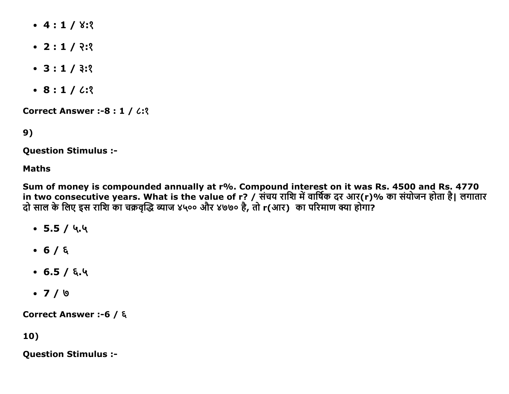- $-4:1/8:3$
- $\cdot$  2 : 1 / २:१
- $\bullet$  3 : 1 / 3:2
- $\cdot$  8:1/6:2

**Correct Answer :- 8 : 1 / 6: ?** 

9)

**Question Stimulus :-**

#### **Maths**

Sum of money is compounded annually at r%. Compound interest on it was Rs. 4500 and Rs. 4770<br>in two consecutive years. What is the value of r? / संचय राशि में वार्षिक दर आर(r)% का संयोजन होता है। लगातार दो साल के लिए इस राशि का चक्रवृद्धि ब्याज ४५०० और ४७७० है, तो r(आर) का परिमाण क्या होगा?

- $\bullet$  5.5 / ५.५
- $-6/6$
- $-6.5/5.4$
- $\bullet$  7 / ७

Correct Answer :-6 / ξ

## $10)$

**Question Stimulus :-**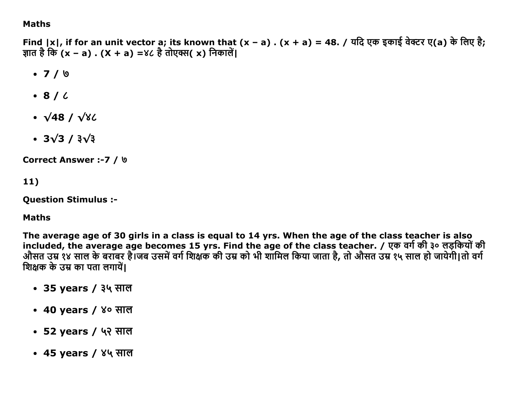### **Maths**

Find  $|x|$ , if for an unit vector a; its known that  $(x - a)$ .  $(x + a) = 48$ . / यदि एक इकाई वेक्टर ए(a) के लिए है; ज्ञात है कि (x – a) . (X + a) =४८ है तोएक्स(x) निकालें।

- $-7/9$
- $\cdot$  8/6
- $\cdot \sqrt{48}/\sqrt{82}$
- $\cdot$  3 $\sqrt{3}$  /  $3\sqrt{3}$

**Correct Answer :- 7 / 0** 

 $11)$ 

**Question Stimulus :-**

### **Maths**

The average age of 30 girls in a class is equal to 14 yrs. When the age of the class teacher is also included, the average age becomes 15 yrs. Find the age of the class teacher. / एक वर्ग की ३० लड़कियों की औसत उम्र १४ साल के बराबर है।जब उसमें वर्ग शिक्षक की उम्र को भी शामिल किया जाता है, तो औसत उम्र १५ साल हो जायेगी।तो वर्ग शिक्षक के उम्र का पता लगायें।

- 35 years / ३५ साल
- 40 years / ४० साल
- 52 years / ५२ साल
- 45 years / ४५ साल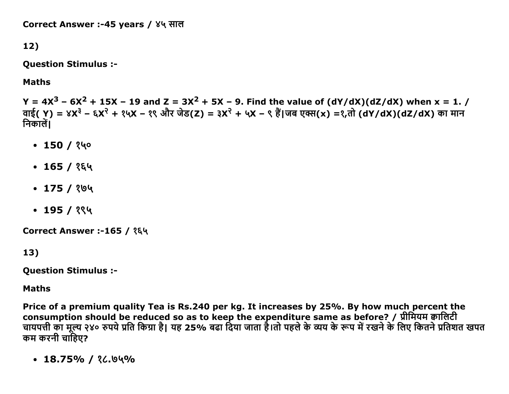Correct Answer :-45 years / ४५ साल

12)

**Question Stimulus :-**

**Maths** 

Y =  $4X^3$  –  $6X^2$  + 15X – 19 and Z =  $3X^2$  + 5X – 9. Find the value of (dY/dX)(dZ/dX) when x = 1. / वाई( Y) = ४X<sup>३</sup> – ६X<sup>२</sup> + १५X – १९ और जेड(Z) = ३X<sup>२</sup> + ५X – ९ हैं।जब एक्स(x) =१,तो (dY/dX)(dZ/dX) का मान निकालें।

- $\cdot$  150 / १५०
- $\cdot$  165 / १६५
- $\cdot$  175 / ?७५
- $\cdot$  195 / १९५

Correct Answer :-165 / १६५

13)

**Question Stimulus :-**

**Maths** 

Price of a premium quality Tea is Rs.240 per kg. It increases by 25%. By how much percent the consumption should be reduced so as to keep the expenditure same as before? / प्रीमियम क्वालिटी चायपत्ती का मूल्य २४० रुपये प्रति किग्रा है। यह 25% बढा दिया जाता है।तो पहले के व्यय के रूप में रखने के लिए कितने प्रतिशत खपत कम करनी चाहिए?

 $\cdot$  18.75% / ?८.७५%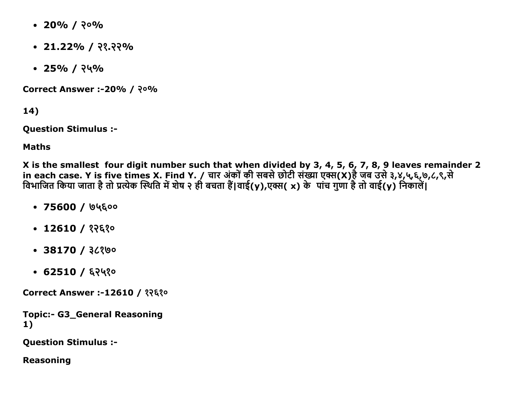- $\cdot$  20% / २०%
- $\cdot$  21.22% / २१.२२%
- $\cdot$  25% / २५%

**Correct Answer :-20% / २०%** 

14)

Question Stimulus :

Maths

X is the smallest four digit number such that when divided by 3, 4, 5, 6, 7, 8, 9 leaves remainder 2 in each case. Y is five times X. Find Y. / चार अर्का की सबसे छोटी सख्या एक्स(X)हे जब उसे ३,४,५,६,७,८,९,स विभाजित किया जाता है तो प्रत्येक स्थिति में शेष २ ही बचता है|वाई(y),एक्स( x) के पाच गुणा है तो वाई(y) निकाले|

- $\cdot$  75600 / ७५६००
- $\cdot$  12610 / १२६१०
- $\cdot$  38170 / ३८१७०
- $-62510/629$

Correct Answer :-12610 / १२६१०

Topic:- G3\_General Reasoning 1)

Question Stimulus :

Reasoning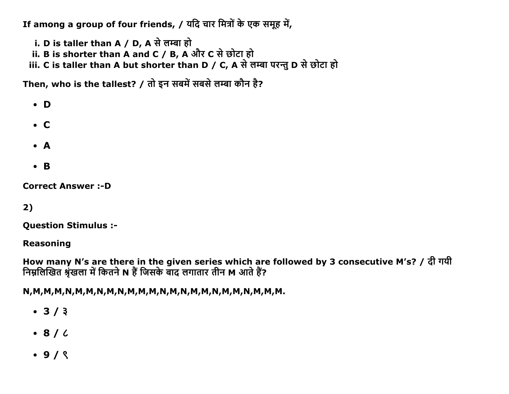If among a group of four friends, / यदि चार मित्रों के एक समूह में,

i. D is taller than A / D, A से लम्बा हो

ii. B is shorter than A and C / B, A और C से छोटा हो

iii. C is taller than A but shorter than D / C, A से लम्बा परन्तु D से छोटा हो

Then, who is the tallest? / तो इन सबमें सबसे लम्बा कौन है?

 $\bullet$  D

- $\bullet$  C
- $\bullet$  A
- $\bullet$  B

**Correct Answer :- D** 

## $2)$

**Question Stimulus :-**

**Reasoning** 

How many N's are there in the given series which are followed by 3 consecutive M's? / दी गयी निम्नलिखित श्रृंखला में कितने N हैं जिसके बाद लगातार तीन M आते हैं?

- $3/3$
- $\bullet$  8/ $\prime$
- $.9/8$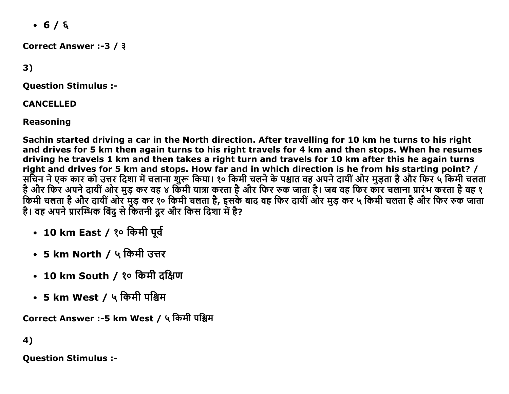$-6/6$ 

Correct Answer :-3 /  $3$ 

3)

Question Stimulus :

CANCELLED

Reasoning

Sachin started driving a car in the North direction. After travelling for 10 km he turns to his right and drives for 5 km then again turns to his right travels for 4 km and then stops. When he resumes driving he travels 1 km and then takes a right turn and travels for 10 km after this he again turns right and drives for 5 km and stops. How far and in which direction is he from his starting point? / सचिन ने एक कार को उत्तर दिशा में चलाना शुरू किया। १० किमी चलने के पश्चात वह अपने दायी और मुड़ता है और फिर ५ किमी चलता है और फिर अपने दायी और मुड़ कर वह ४ किमी यात्रा करता है और फिर रुक जाता है। जब वह फिर कार चलाना प्रारंभ करता है वह १ किमी चलता है और दायी और मुड़ कर १० किमी चलता है, इसके बाद वह फिर दायी और मुड़ कर ५ किमी चलता है और फिर रुक जाता है। वह अपने प्रारम्भिक बिंदु से कितनी दूर और किस दिशा में है?

- 10 km East / १० किमी पूर्व
- 5 km North / ५ किमी उत्तर
- 10 km South / १० किमी दक्षिण
- 5 km West / ५ किमी पश्चिम

Correct Answer :-5 km West / ५ किमी पश्चिम

4)

Question Stimulus :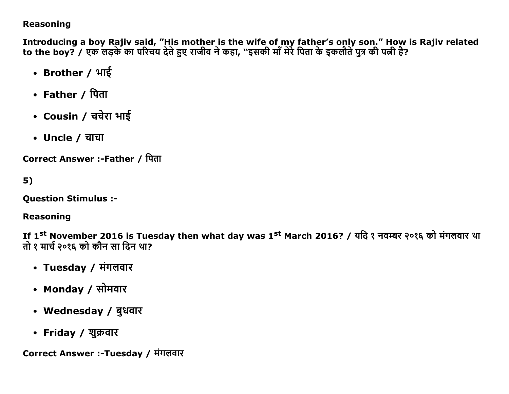### **Reasoning**

Introducing a boy Rajiv said, "His mother is the wife of my father's only son." How is Rajiv related to the boy? / एक लड़के का परिचय देते हुए राजीव ने कहा, "इसकी माँ मेरे पिता के इकलौते पुत्र की पत्नी है?

- Brother / भाई
- Father / पिता
- Cousin / चचेरा भाई
- Uncle / चाचा

Correct Answer :-Father / पिता

 $5)$ 

**Question Stimulus :-**

### **Reasoning**

If 1st November 2016 is Tuesday then what day was 1st March 2016? / यदि १ नवम्बर २०१६ को मंगलवार था तो १ मार्च २०१६ को कौन सा दिन था?

- Tuesday / मंगलवार
- Monday / सोमवार
- Wednesday / बुधवार
- Friday / शुक्रवार

Correct Answer :-Tuesday / मंगलवार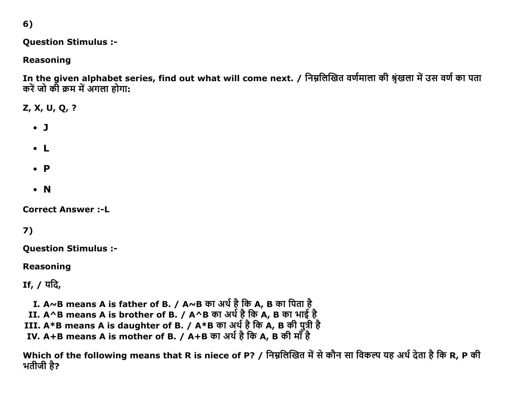$6)$ 

### **Question Stimulus :-**

## **Reasoning**

In the given alphabet series, find out what will come next. / निम्नलिखित वर्णमाला की श्रृंखला में उस वर्ण का पता करें जो की क्रम में अंगला होगा:

Z, X, U, Q, ?

- $\bullet$  J
- $\bullet$  L
- $\bullet$   $\bullet$
- $\bullet$  N

**Correct Answer :- L** 

 $7)$ 

**Question Stimulus :-**

**Reasoning** 

If, / यदि,

- I. A~B means A is father of B. / A~B का अर्थ है कि A, B का पिता है<br>II. A^B means A is brother of B. / A^B का अर्थ है कि A, B का भाई है<br>III. A\*B means A is daughter of B. / A\*B का अर्थ है कि A, B की पुत्री है<br>IV. A+B mean
	-
- 
- 

Which of the following means that R is niece of P? / निम्नलिखित में से कौन सा विकल्प यह अर्थ देता है कि R, P की भतीजी है?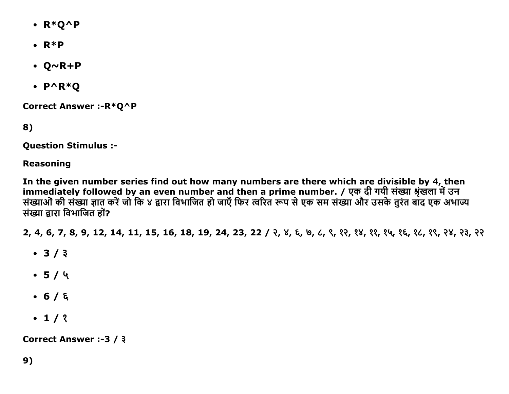- $\cdot$  R\*Q^P
- $\bullet$  R<sup>\*</sup>P
- $\bullet$  Q~R+P
- $\cdot$  P^R\*Q

Correct Answer :- R\*Q^P

8)

**Question Stimulus :-**

**Reasoning** 

In the given number series find out how many numbers are there which are divisible by 4, then immediately followed by an even number and then a prime number. / एक दी गयी संख्या श्रृंखला में उन संख्याओं की संख्या ज्ञात करें जो कि ४ द्वारा विभाजित हो जाएँ फिर त्वरित रूप से एक सम संख्या और उसके तुरंत बाद एक अभाज्य संख्या द्वारा विभाजित हों?

2, 4, 6, 7, 8, 9, 12, 14, 11, 15, 16, 18, 19, 24, 23, 22 / २, ४, ६, ७, ८, ९, १२, १४, १९, १५, १६, १८, १९, २४, २३, २२

- $3/3$
- $-5/4$
- $-6/5$
- $\cdot$  1/2

Correct Answer :-3 / 3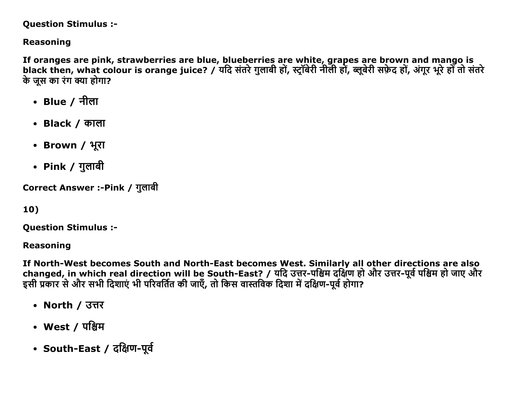#### **Question Stimulus :-**

## **Reasoning**

If oranges are pink, strawberries are blue, blueberries are white, grapes are brown and mango is black then, what colour is orange juice? / यदि संतरे गुलाबी हों, स्ट्रॉबेरी नीली हों, ब्लूबेरी सफ़ेद हों, अंगूर भूरे हों तो संतरे के जस का रंग क्या होगा?

- Blue / नीला
- Black  $\prime$  काला
- Brown / भूरा
- Pink / गुलाबी

Correct Answer :-Pink / गुलाबी

## 10)

**Ouestion Stimulus :-**

**Reasoning** 

If North-West becomes South and North-East becomes West. Similarly all other directions are also changed, in which real direction will be South-East? / यदि उत्तर-पश्चिम दक्षिण हो और उत्तर-पूर्व पश्चिम हो जाए और इसी प्रकार से और सभी दिशाएं भी परिवर्तित की जाएँ, तो किस वास्तविक दिशा में दक्षिण-पूर्व होगा?

- North / उत्तर
- West / पश्चिम
- South-East / दक्षिण-पूर्व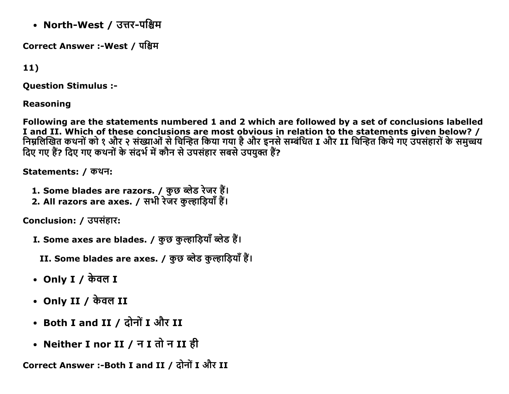• North-West / उत्तर-पश्चिम

Correct Answer :-West / पश्चिम

 $11)$ 

**Ouestion Stimulus :-**

**Reasoning** 

Following are the statements numbered 1 and 2 which are followed by a set of conclusions labelled I and II. Which of these conclusions are most obvious in relation to the statements given below? / निम्नलिखित कथनों को १ और २ संख्याओं से चिन्हित किया गया है और इनसे सम्बंधित I और II चिन्हित किये गए उपसंहारों के समुच्चय दिए गए हैं? दिए गए कथनों के संदर्भ में कौन से उपसंहार सबसे उपयुक्त हैं?

Statements: / कथन:

- 1. Some blades are razors. / कुछ ब्लेड रेजर हैं।
- 2. All razors are axes. / सभी रेजर कुल्हाड़ियाँ हैं।

Conclusion: / उपसंहार:

- I. Some axes are blades. / कुछ कुल्हाडियाँ ब्लेड हैं।
	- II. Some blades are axes. / कुछ ब्लेड कुल्हाड़ियाँ हैं।
- Only I /  $\frac{1}{2}$  or  $\frac{1}{2}$
- Only II / केवल II
- Both I and II / दोनों I और II
- Neither I nor II / न I तो न II ही

Correct Answer :-Both I and II / दोनों I और II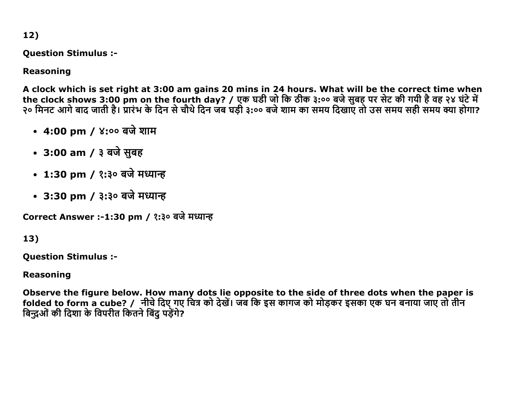12)

Question Stimulus :

## Reasoning

A clock which is set right at 3:00 am gains 20 mins in 24 hours. What will be the correct time when the clock shows 3:00 pm on the fourth day? / एक घडी जो कि ठीक ३:०० बजे सुबह पर सेंट की गयी है वह २४ घर्ट में २० मिनट आगे बाद जाती है। प्रारंभ के दिन से चौथे दिन जब घड़ी ३:०० बजे शाम का समय दिखाए तो उस समय सही समय क्या होगा?

- 4:00 pm / ४:०० बजे शाम
- 3:00 am / ३ बजे सुबह
- 1:30 pm / १:३० बजे मध्यान्ह
- 3:30 pm / ३:३० बजे मध्यान्ह

Correct Answer :-1:30 pm / १:३० बजे मध्यान्ह

## 13)

Question Stimulus :

### Reasoning

Observe the figure below. How many dots lie opposite to the side of three dots when the paper is folded to form a cube? / नीचे दिए गए चित्र को देखें। जब कि इस कागज को मोड़कर इसका एक घन बनाया जाए तो तीन बिन्दुओं की दिशा के विपरीत कितने बिंद पडेंगे?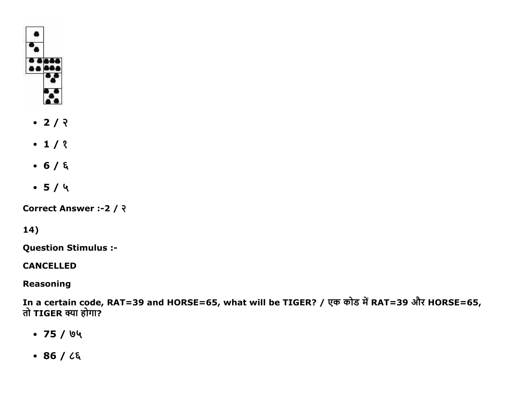

- $\cdot$  2/  $\sqrt{2}$
- $\cdot$  1/ ?
- $-6/6$
- $-5/4$

Correct Answer :- 2 / २

## 14)

**Question Stimulus :-**

## **CANCELLED**

## **Reasoning**

In a certain code, RAT=39 and HORSE=65, what will be TIGER? / एक कोड में RAT=39 और HORSE=65, तो TIGER क्या होगा?

- $-75/64$
- $-86/25$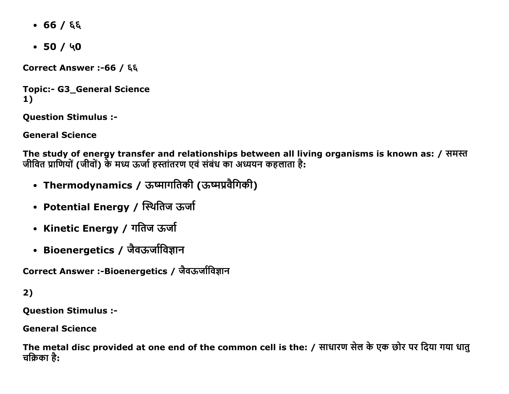- $-66/66$
- $-50/40$

Correct Answer :- 66 / ६६

**Topic:- G3\_General Science**  $1)$ 

**Question Stimulus :-**

**General Science** 

The study of energy transfer and relationships between all living organisms is known as: / समस्त जीवित प्राणियों (जीवों) के मध्य ऊर्जा हस्तांतरण एवं संबंध का अध्ययन कहलाता है:

- Thermodynamics / ऊष्मागतिकी (ऊष्मप्रवैगिकी)
- Potential Energy / स्थितिज ऊर्जा
- Kinetic Energy / गतिज ऊर्जा
- Bioenergetics / जैवऊर्जाविज्ञान

Correct Answer :-Bioenergetics / जैवऊर्जाविज्ञान

 $2)$ 

**Question Stimulus :-**

**General Science** 

The metal disc provided at one end of the common cell is the: / साधारण सेल के एक छोर पर दिया गया धातु चक्रिका है: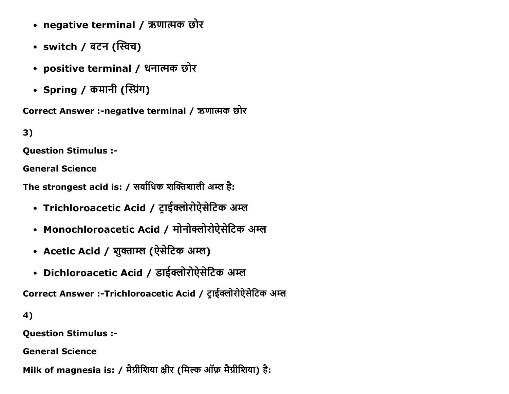- negative terminal / ऋणात्मक छोर
- switch / बटन (स्विच)
- positive terminal / धनात्मक छोर
- Spring / कमानी (स्प्रिंग)

Correct Answer :-negative terminal / ऋणात्मक छोर

 $3)$ 

**Ouestion Stimulus :-**

**General Science** 

The strongest acid is: / सर्वाधिक शक्तिशाली अम्ल है:

- Trichloroacetic Acid / ट्राईक्लोरोऐसेटिक अम्ल
- Monochloroacetic Acid / मोनोक्लोरोऐसेटिक अम्ल
- Acetic Acid / शुक्ताम्ल (ऐसेटिक अम्ल)
- Dichloroacetic Acid / डाईक्लोरोऐसेटिक अम्ल

Correct Answer :-Trichloroacetic Acid / ट्राईक्लोरोऐसेटिक अम्ल

4)

**Question Stimulus :-**

**General Science** 

Milk of magnesia is: / मैग्नीशिया क्षीर (मिल्क ऑफ़ मैग्नीशिया) है: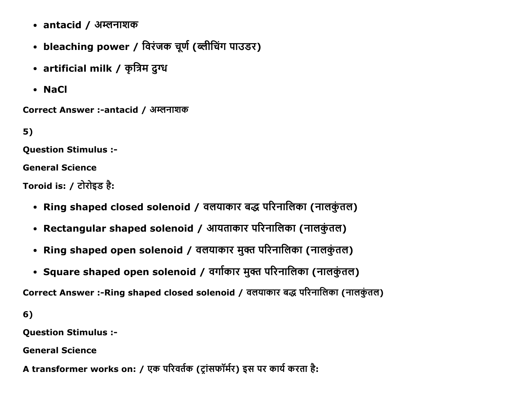- $\cdot$  antacid / अम्लनाशक
- bleaching power / विरंजक चूर्ण (ब्लीचिंग पाउडर)
- artificial milk / कृत्रिम दुग्ध
- NaCl

Correct Answer :-antacid / अम्लनाशक

5)

Question Stimulus :

General Science

Toroid is: / टोरोइड है:

- Ring shaped closed solenoid / वलयाकार बद्ध परिनालिका (नालकुंतल)
- Rectangular shaped solenoid / आयताकार परिनालिका (नालकुंतल)
- Ring shaped open solenoid / वलयाकार मुक्त परिनालिका (नालकुंतल)
- Square shaped open solenoid / वर्गाकार मुक्त परिनालिका (नालकुंतल)

Correct Answer :-Ring shaped closed solenoid / वलयाकार बद्ध परिनालिका (नालकुंतल)

6)

Question Stimulus :

General Science

A transformer works on: / एक परिवर्तक (ट्रांसफॉर्मर) इस पर कार्य करता है: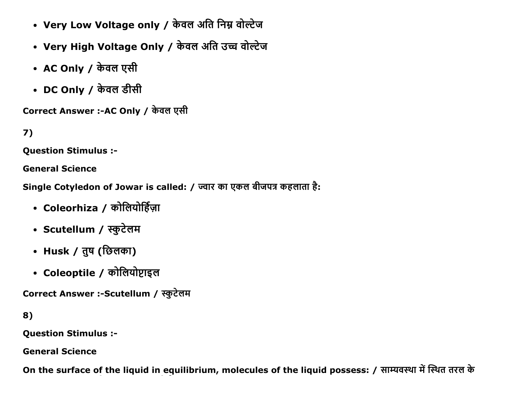- Very Low Voltage only / केवल अति निम्न वोल्टेज
- Very High Voltage Only / केवल अति उच्च वोल्टेज
- AC Only / केवल एसी
- DC Only / केवल डीसी

Correct Answer :-AC Only / केवल एसी

```
7)
```
**Ouestion Stimulus :-**

**General Science** 

Single Cotyledon of Jowar is called: / ज्वार का एकल बीजपत्र कहलाता है:

- Coleorhiza / कोलियोर्हिज़ा
- Scutellum / स्कुटेलम
- Husk / तुष (छिलका)
- Coleoptile / कोलियोप्टाइल

Correct Answer :-Scutellum / स्कुटेलम

```
8)
```
**Question Stimulus :-**

**General Science** 

On the surface of the liquid in equilibrium, molecules of the liquid possess: / साम्यवस्था में स्थित तरल के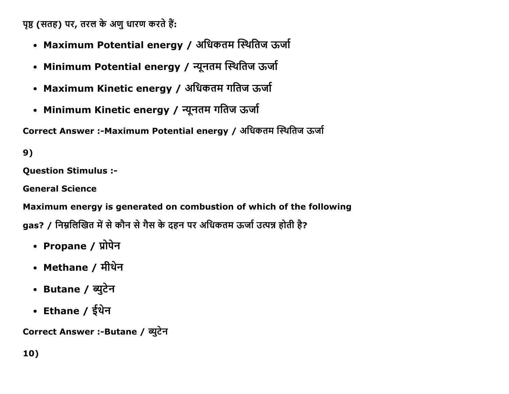पृष्ठ (सतह) पर, तरल के अणु धारण करते हैं:

- Maximum Potential energy / अधिकतम स्थितिज ऊर्जा
- Minimum Potential energy / न्यूनतम स्थितिज ऊर्जा
- Maximum Kinetic energy / अधिकतम गतिज ऊर्जा
- Minimum Kinetic energy / न्यूनतम गतिज ऊर्जा

Correct Answer :-Maximum Potential energy / अधिकतम स्थितिज ऊर्जा

9)

**Question Stimulus :-**

**General Science** 

Maximum energy is generated on combustion of which of the following gas? / निम्नलिखित में से कौन से गैस के दहन पर अधिकतम ऊर्जा उत्पन्न होती है?

- Propane / प्रोपेन
- Methane / मीथेन
- Butane / ब्युटेन
- Ethane / ईथेन

Correct Answer :- Butane / ब्युटेन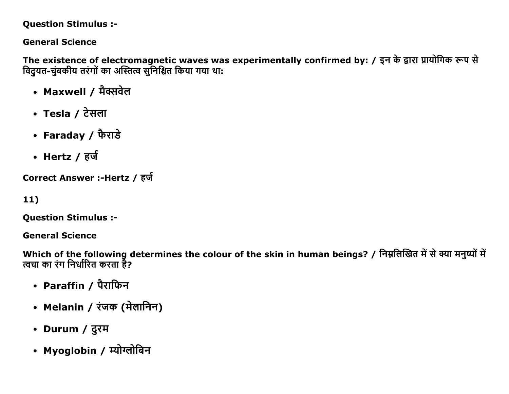#### **Question Stimulus :-**

## **General Science**

The existence of electromagnetic waves was experimentally confirmed by: / इन के द्वारा प्रायोगिक रूप से विदुयत-चुंबकीय तरंगों का अस्तित्व सुनिश्चित किया गया था:

- Maxwell / मैक्सवेल
- Tesla / टेसला
- Faraday / फैराडे
- Hertz / हर्ज

Correct Answer :-Hertz / हर्ज

 $11)$ 

**Question Stimulus :-**

**General Science** 

Which of the following determines the colour of the skin in human beings? / निम्नलिखित में से क्या मनुष्यों में त्वचा का रंग निर्धारित करता है?

- Paraffin / पैराफिन
- Melanin / रंजक (मेलानिन)
- Durum / दूरम
- Myoglobin / म्योग्लोबिन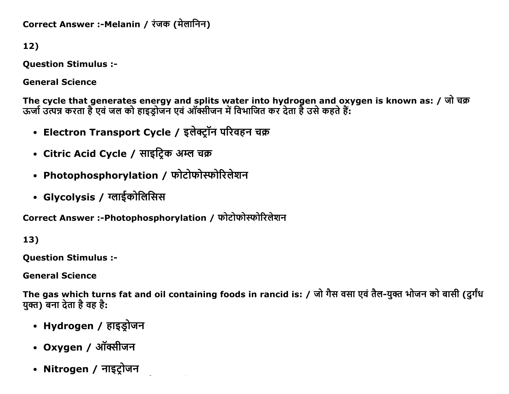Correct Answer :-Melanin / रंजक (मेलानिन)

12)

**Question Stimulus :-**

**General Science** 

The cycle that generates energy and splits water into hydrogen and oxygen is known as: / जो चक्र<br>ऊर्जा उत्पन्न करता है एवं जल को हाइड्रोजन एवं ऑक्सीजन में विभाजित कर देता है उसे कहते हैं:

- Electron Transport Cycle / इलेक्ट्रॉन परिवहन चक्र
- Citric Acid Cycle / साइट्रिक अम्ल चक्र
- Photophosphorylation / फोटोफोस्फोरिलेशन
- Glycolysis / ग्लाईकोलिसिस

Correct Answer :-Photophosphorylation / फोटोफोस्फोरिलेशन

13)

**Ouestion Stimulus :-**

**General Science** 

The gas which turns fat and oil containing foods in rancid is: / जो गैस वसा एवं तैल-युक्त भोजन को बासी (दुर्गंध युक्त) बना देता है वह है:

- Hydrogen / हाइड्रोजन
- Oxygen / ऑक्सीजन
- Nitrogen / नाइट्रोजन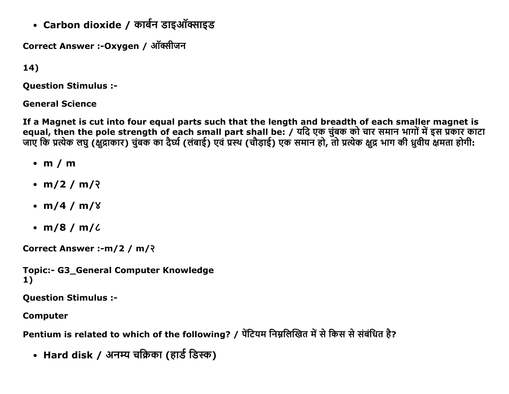• Carbon dioxide / कार्बन डाइऑक्साइड

Correct Answer :-Oxygen / ऑक्सीजन

 $14)$ 

**Question Stimulus :-**

**General Science** 

If a Magnet is cut into four equal parts such that the length and breadth of each smaller magnet is equal, then the pole strength of each small part shall be: / यदि एक चुंबक को चार समान भागों में इस प्रकार काटा<br>जाए कि प्रत्येक लघु (क्षुद्राकार) चुंबक का दैर्घ्य (लंबाई) एवं प्रस्थ (चौड़ाई) एक समान हो, तो प्रत्येक क्षुद्र

- $\cdot$  m / m
- $m/2 / m/2$
- $m/4 / m/8$
- $\cdot$  m/8 / m/ $\ell$

Correct Answer :- m/2 / m/?

**Topic:- G3 General Computer Knowledge**  $1)$ 

**Question Stimulus :-**

**Computer** 

Pentium is related to which of the following? / पेंटियम निम्नलिखित में से किस से संबंधित है?

• Hard disk / अनम्य चक्रिका (हार्ड डिस्क)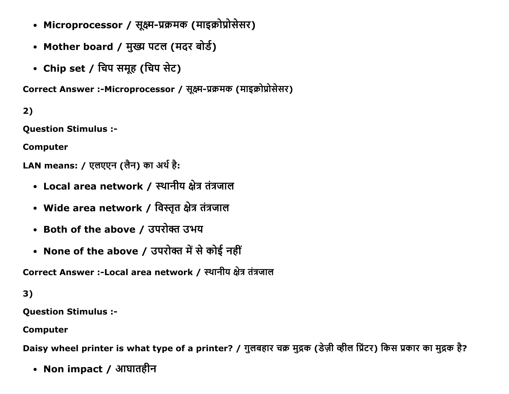- Microprocessor / सूक्ष्म-प्रक्रमक (माइक्रोप्रोसेसर)
- Mother board / मुख्य पटल (मदर बोर्ड)
- Chip set / चिप समूह (चिप सेट)

Correct Answer :-Microprocessor / सक्ष्म-प्रक्रमक (माइक्रोप्रोसेसर)

2)

Question Stimulus :

Computer

LAN means: / एलएएन (लैन) का अर्थ है:

- Local area network / स्थानीय क्षेत्र तंत्रजाल
- Wide area network / विस्तृत क्षेत्र तंत्रजाल
- Both of the above / उपरोक्त उभय
- None of the above / उपरोक्त में से कोई नहीं

Correct Answer :-Local area network / स्थानीय क्षेत्र तंत्रजाल

3)

Question Stimulus :

Computer

Daisy wheel printer is what type of a printer? / गुलबहार चक्र मुद्रक (डेज़ी व्हील प्रिंटर) किस प्रकार का मुद्रक है?

• Non impact / आघातहीन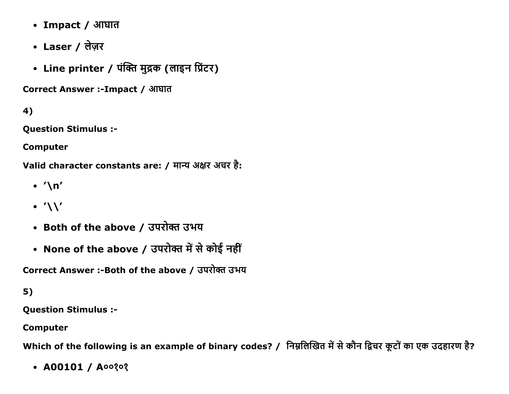- Impact / आघात
- Laser / लेज़र
- Line printer / पंक्ति मुद्रक (लाइन प्रिंटर)

Correct Answer :-Impact / आघात

4)

**Question Stimulus :-**

**Computer** 

Valid character constants are: / मान्य अक्षर अचर है:

- $\cdot$  '\n'
- $\cdot'$
- Both of the above / उपरोक्त उभय
- None of the above / उपरोक्त में से कोई नहीं

Correct Answer :- Both of the above / उपरोक्त उभय

 $5)$ 

**Question Stimulus :-**

**Computer** 

Which of the following is an example of binary codes? / निम्नलिखित में से कौन द्विचर कूटों का एक उदहारण है?

•  $A00101 / A00202$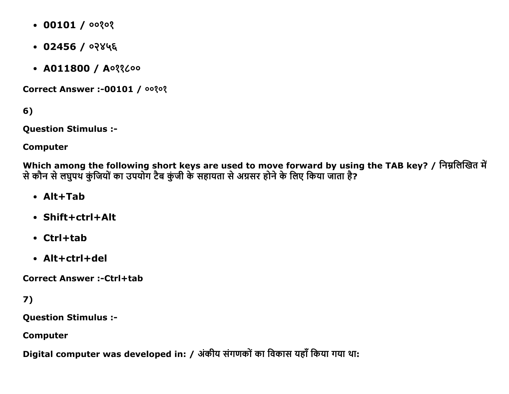- $\bullet$  00101 / 00202
- $\cdot$  02456 / ০२४५६
- $AD11800 / A033$

**Correct Answer :- 00101 / 00?0?** 

6)

**Question Stimulus :-**

**Computer** 

Which among the following short keys are used to move forward by using the TAB key? / निम्नलिखित में से कौन से लघुपथ कुंजियों का उपयोग टैब कुंजी के सहायता से अग्रसर होने के लिए किया जाता है?

- $\bullet$  Alt+Tah
- Shift+ctrl+Alt
- $\cdot$  Ctrl+tab
- $\bullet$  Alt+ctrl+del

**Correct Answer:-Ctrl+tab** 

7)

**Question Stimulus :-**

**Computer** 

Digital computer was developed in: / अंकीय संगणकों का विकास यहाँ किया गया था: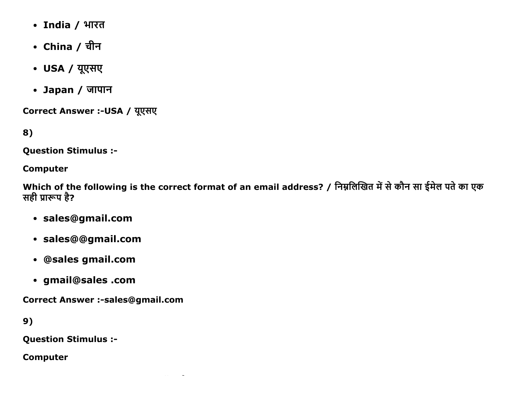- India / भारत
- China / चीन
- USA / यूएसए
- Japan / जापान

Correct Answer :- USA / यूएसए

8)

**Question Stimulus :-**

#### **Computer**

Which of the following is the correct format of an email address? / निम्नलिखित में से कौन सा ईमेल पते का एक सही प्रारूप है?

- · sales@gmail.com
- · sales@@gmail.com
- · @sales gmail.com
- · gmail@sales .com

**Correct Answer :-sales@gmail.com** 

9)

**Question Stimulus :-**

**Computer**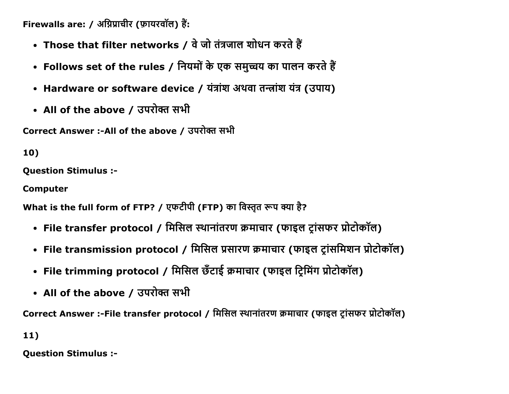Firewalls are: / अग्निप्राचीर (फ़ायरवॉल) हैं:

- Those that filter networks / वे जो तंत्रजाल शोधन करते हैं
- Follows set of the rules / नियमों के एक समुच्चय का पालन करते हैं
- Hardware or software device / यंत्रांश अथवा तन्त्रांश यंत्र (उपाय)
- All of the above / उपरोक्त सभी

Correct Answer :-All of the above / उपरोक्त सभी

10)

**Question Stimulus :-**

**Computer** 

What is the full form of FTP? / एफटीपी (FTP) का विस्तृत रूप क्या है?

- File transfer protocol / मिसिल स्थानांतरण क्रमाचार (फाइल ट्रांसफर प्रोटोकॉल)
- File transmission protocol / मिसिल प्रसारण क्रमाचार (फाइल ट्रांसमिशन प्रोटोकॉल)
- File trimming protocol / मिसिल छँटाई क्रमाचार (फाइल ट्रिमिंग प्रोटोकॉल)
- All of the above / उपरोक्त सभी

Correct Answer :-File transfer protocol / मिसिल स्थानांतरण क्रमाचार (फाइल टांसफर प्रोटोकॉल)

 $11)$ 

**Question Stimulus :-**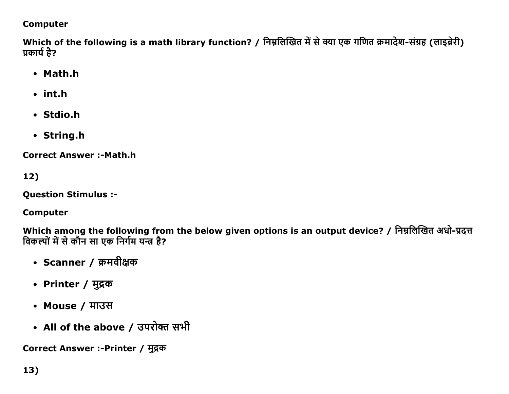### **Computer**

Which of the following is a math library function? / निम्नलिखित में से क्या एक गणित क्रमादेश-संग्रह (लाइब्रेरी) प्रकार्य है?

- Math.h
- $\cdot$  int.h
- Stdio.h
- String.h

**Correct Answer:-Math.htm** 

12)

**Question Stimulus :-**

**Computer** 

Which among the following from the below given options is an output device? / निम्नलिखित अधो-प्रदत्त विकल्पों में से कौन सा एक निर्गम यन्त्र है?

- Scanner / क्रमवीक्षक
- Printer / मुद्रक
- Mouse / माउस
- All of the above / उपरोक्त सभी

Correct Answer :- Printer / मुद्रक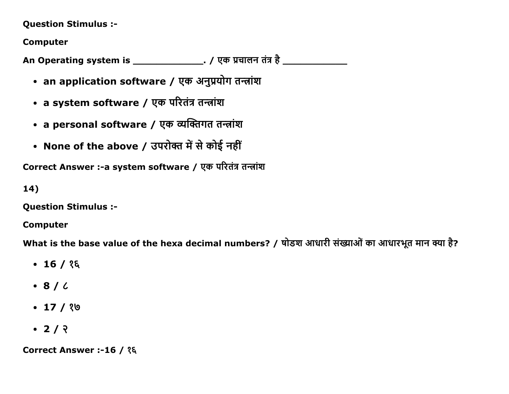#### Question Stimulus :

Computer

An Operating system is \_\_\_\_\_\_\_\_\_\_\_\_\_\_\_\_. / एक प्रचालन तंत्र है \_\_\_\_\_\_\_\_\_\_\_\_\_\_\_\_\_

- an application software / एक अनुप्रयोग तन्त्रांश
- a system software / एक परितंत्र तन्त्रांश
- a personal software / एक व्यक्तिगत तन्त्रांश
- None of the above / उपरोक्त में से कोई नहीं

Correct Answer :- a system software / एक परितंत्र तन्त्रांश

14)

Question Stimulus :

Computer

What is the base value of the hexa decimal numbers? / षोडश आधारी संख्याओं का आधारभूत मान क्या है?

- $-16/$  ?
- $\cdot$  8 /  $\zeta$
- $-17/90$
- $-2/2$

Correct Answer :-16 / १६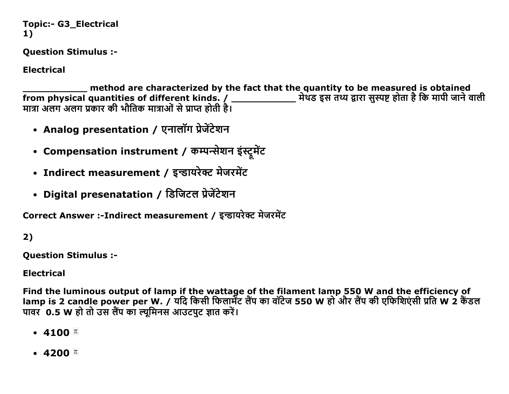```
Topic:- G3_Electrical
1)
```
**Ouestion Stimulus :-**

**Electrical** 

method are characterized by the fact that the quantity to be measured is obtained from physical quantities of different kinds. / \_\_\_\_\_\_\_\_\_\_\_\_\_\_\_ मेथड इस तथ्य द्वारा सुस्पष्ट होता है कि मापी जाने वाली मात्रा अलग अलग प्रकार की भौतिक मात्राओं से प्राप्त होती है।

- Analog presentation / एनालॉग प्रेजेंटेशन
- Compensation instrument / कम्पन्सेशन इंस्ट्रमेंट
- Indirect measurement / इन्डायरेक्ट मेजरमेंट
- Digital presenatation / डिजिटल प्रेजेंटेशन

Correct Answer :-Indirect measurement / इन्डायरेक्ट मेजरमेंट

 $2)$ 

**Question Stimulus :-**

**Electrical** 

Find the luminous output of lamp if the wattage of the filament lamp 550 W and the efficiency of lamp is 2 candle power per W. / यदि किसी फिलार्मेंट लैंप का वॉटेज 550 W हो और लैंप की एफिशिएंसी प्रति W 2 कैंडल पावर 0.5 W हो तो उस लैंप का ल्यूमिनस आउटपुट ज्ञात करें।

- $4100$   $\pi$
- $\cdot$  4200  $\pi$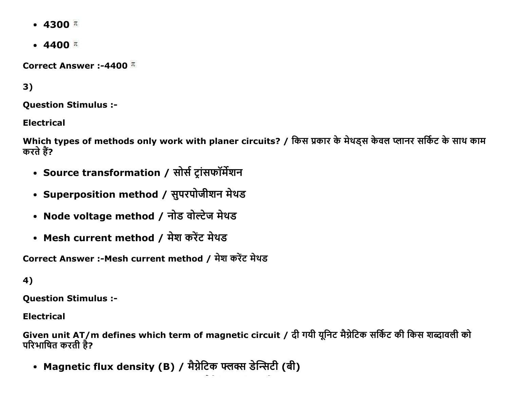- 4300  $\pi$
- $\cdot$  4400  $\pi$

Correct Answer :-4400  $\pi$ 

 $3)$ 

**Ouestion Stimulus :-**

**Electrical** 

Which types of methods only work with planer circuits? / किस प्रकार के मेथड्स केवल प्लानर सर्किट के साथ काम करते हैं?

- Source transformation / सोर्स ट्रांसफॉर्मेशन
- Superposition method / सुपरपोजीशन मेथड
- Node voltage method / नोड वोल्टेज मेथड
- Mesh current method / मेश करेंट मेथड

Correct Answer :-Mesh current method / मेश करेंट मेथड

4)

**Question Stimulus :-**

**Electrical** 

Given unit AT/m defines which term of magnetic circuit / दी गयी यूनिट मैग्नेटिक सर्किट की किस शब्दावली को परिभाषित करती है?

• Magnetic flux density (B) / मैग्नेटिक फ्लक्स डेन्सिटी (बी)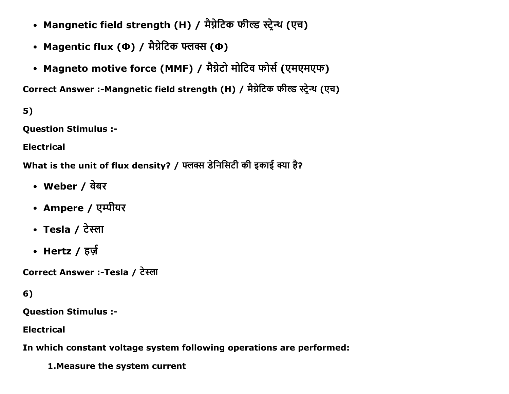- Mangnetic field strength (H) / मैग्नेटिक फील्ड स्ट्रेन्थ (एच)
- Magentic flux (Ф) / मैग्नेटिक फ्लक्स (Ф)
- Magneto motive force (MMF) / मैग्नेटो मोटिव फोर्स (एमएमएफ)

Correct Answer :-Mangnetic field strength (H) / मैग्नेटिक फील्ड स्टेन्थ (एच)

 $5)$ 

**Question Stimulus :-**

**Electrical** 

What is the unit of flux density? / फ्लक्स डेनिसिटी की इकाई क्या है?

- Weber / वेबर
- Ampere / एम्पीयर
- Tesla / टेस्ला
- Hertz / हर्ज़

Correct Answer :-Tesla / टेस्ला

## $6)$

**Question Stimulus :-**

**Electrical** 

In which constant voltage system following operations are performed:

1. Measure the system current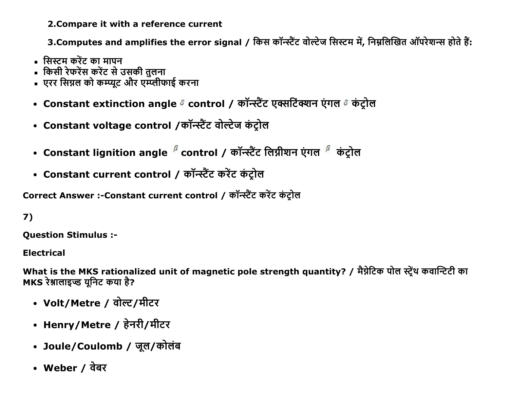2. Compare it with a reference current

3.Computes and amplifies the error signal / किस कॉन्स्टैंट वोल्टेज सिस्टम में, निम्नलिखित ऑपरेशन्स होते हैं:

- सिस्टम करेंट का मापन
- किसी रेफरेंस करेंट से उसकी तलना
- एरर सिग्नल को कम्प्यूट और एम्प्लीफाई करना
- Constant extinction angle & control / कॉन्स्टैंट एक्सटिंक्शन एंगल & कंट्रोल
- Constant voltage control /कॉन्स्टैंट वोल्टेज कंट्रोल
- Constant lignition angle  ${}^{\beta}$  control / कॉन्स्टैंट लिग्नीशन एंगल  ${}^{\beta}$  कंट्रोल
- Constant current control / कॉन्स्टैंट करेंट कंट्रोल

Correct Answer :-Constant current control / कॉन्स्टैंट करेंट कंटोल

# $7)$

**Ouestion Stimulus :-**

**Electrical** 

What is the MKS rationalized unit of magnetic pole strength quantity? / मैग्नेटिक पोल स्ट्रेंथ कवान्टिटी का MKS रेश्नालाइज्ड युनिट कया है?

- Volt/Metre / वोल्ट/मीटर
- Henry/Metre / हेनरी/मीटर
- Joule/Coulomb / जूल/कोलंब
- Weber / वेबर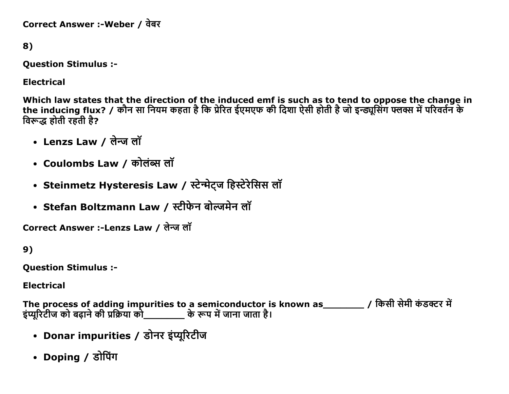Correct Answer :-Weber / वेबर

8)

Question Stimulus :

Electrical

Which law states that the direction of the induced emf is such as to tend to oppose the change in the inducing flux? / कोन सा नियम कहता है कि प्रेरित ईएमएफ की दिशा ऐसी होती है जो इन्ड्यूसिंग फ्लक्स में परिवर्तन क विरूद्ध होती रहती है?

- Lenzs Law / लेन्ज लॉ
- Coulombs Law / कोलंब्स लॉ
- Steinmetz Hysteresis Law / स्टेन्मेट्ज हिस्टेरेसिस लॉ
- Stefan Boltzmann Law / स्टीफेन बोल्जमेन लॉ

Correct Answer :-Lenzs Law / लेन्ज लॉ

9)

Question Stimulus :

Electrical

The process of adding impurities to a semiconductor is known as\_\_\_\_\_\_\_\_\_\_ / किसी सेमी कंडक्टर में इंप्यूरिटीज को बढ़ाने की प्रक्रिया को \_\_\_\_\_\_\_\_\_ के रूप में जाना जाता है।

- Donar impurities / डोनर इंप्यूरिटीज
- Doping / डोपिंग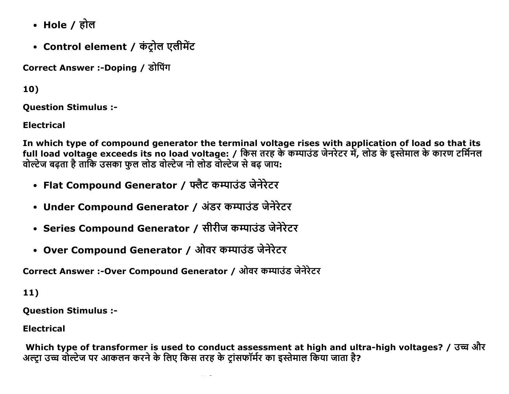- Hole / होल
- Control element / कंट्रोल एलीमेंट

Correct Answer :-Doping / डोपिंग

10)

**Ouestion Stimulus :-**

**Electrical** 

In which type of compound generator the terminal voltage rises with application of load so that its full load voltage exceeds its no load voltage: / किस तरह के कम्पाउंड जेनरेटर में, लोड के इस्तेमाल के कारण टर्मिनल वोल्टेज बढता है ताकि उसका फूल लोड वोल्टेज नो लोड वोल्टेज से बढ जाय:

- Flat Compound Generator / फ्लैट कम्पाउंड जेनेरेटर
- Under Compound Generator / अंडर कम्पाउंड जेनेरेटर
- Series Compound Generator / सीरीज कम्पाउंड जेनेरेटर
- Over Compound Generator / ओवर कम्पाउंड जेनेरेटर

Correct Answer :-Over Compound Generator / ओवर कम्पाउंड जेनेरेटर

 $11)$ 

**Ouestion Stimulus :-**

**Electrical** 

Which type of transformer is used to conduct assessment at high and ultra-high voltages? / उच्च और अल्ट्रा उच्च वोल्टेज पर आकलन करने के लिए किस तरह के ट्रांसफॉर्मर का इस्तेमाल किया जाता है?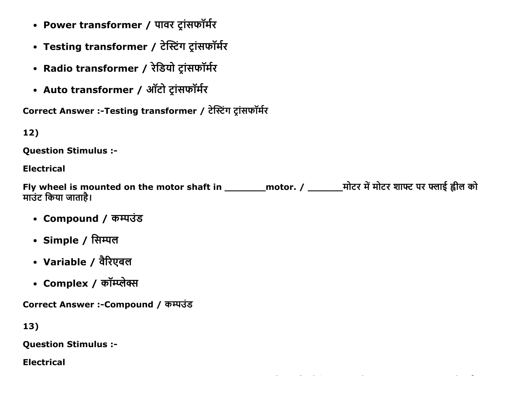- Power transformer / पावर ट्रांसफॉर्मर
- Testing transformer / टेस्टिंग ट्रांसफॉर्मर
- Radio transformer / रेडियो ट्रांसफॉर्मर
- Auto transformer / ऑटो ट्रांसफॉर्मर

Correct Answer :-Testing transformer / टेस्टिंग ट्रांसफॉर्मर

# $12)$

**Ouestion Stimulus :-**

## **Electrical**

Fly wheel is mounted on the motor shaft in \_\_\_\_\_\_\_\_\_ motor. / \_\_\_\_\_\_\_\_\_\_\_\_\_\_\_\_\_\_\_ मोटर शाफ्ट पर फ्लाई ह्वील को माउंट किया जाताहै।

- Compound / कम्पउंड
- Simple / सिम्पल
- Variable / वैरिएबल
- Complex / कॉम्प्लेक्स

Correct Answer :-Compound / कम्पउंड

 $13)$ 

**Question Stimulus :-**

**Electrical**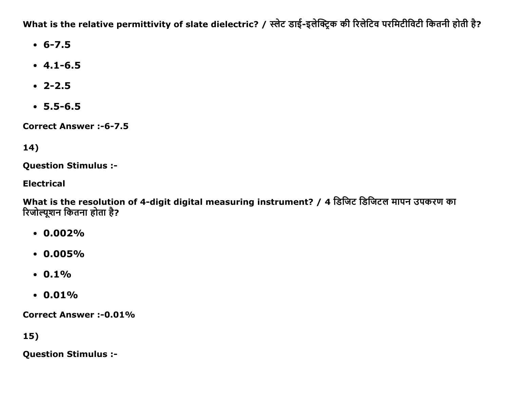What is the relative permittivity of slate dielectric? / स्लेट डाई-इलेक्ट्रिक की रिलेटिव परमिटीविटी कितनी होती है?

- $-6 7.5$
- $-4.1 6.5$
- $\cdot$  2-2.5
- $-5.5 6.5$

**Correct Answer:-6-7.5** 

# 14)

**Question Stimulus :-**

**Electrical** 

What is the resolution of 4-digit digital measuring instrument? / 4 डिजिट डिजिटल मापन उपकरण का रिजोल्यूशन कितना होता है?

- $\cdot$  0.002%
- $\cdot$  0.005%
- $\cdot$  0.1%
- $\cdot$  0.01%

**Correct Answer :-0.01%** 

 $15)$ 

**Question Stimulus :-**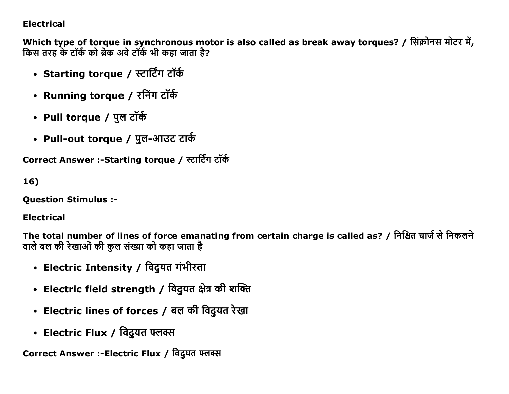### **Electrical**

Which type of torque in synchronous motor is also called as break away torques? / सिंक्रोनस मोटर में, किस तरह के टॉर्क को ब्रेक अवे टॉर्क भी कहा जाता है?

- Starting torque / स्टार्टिंग टॉर्क
- Running torque / रनिंग टॉर्क
- Pull torque / पुल टॉर्क
- Pull-out torque / पुल-आउट टार्क

Correct Answer :-Starting torque / स्टार्टिंग टॉर्क

 $16)$ 

**Ouestion Stimulus :-**

**Electrical** 

The total number of lines of force emanating from certain charge is called as? / निश्चित चार्ज से निकलने वाले बल की रेखाओं की कुल संख्या को कहा जाता है

- Electric Intensity / विदुयत गंभीरता
- Electric field strength / विदुयत क्षेत्र की शक्ति
- Electric lines of forces / बल की विदुयत रेखा
- Electric Flux / विदुयत फ्लक्स

Correct Answer :-Electric Flux / विदुयत फ्लब्स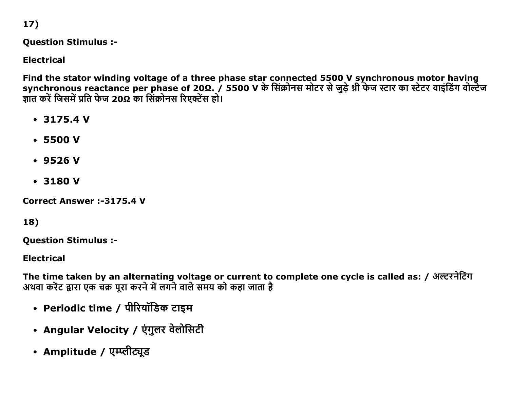17)

**Question Stimulus :-**

**Electrical** 

Find the stator winding voltage of a three phase star connected 5500 V synchronous motor having synchronous reactance per phase of 20Ω. / 5500 V के सिंक्रोनस मोटर से जुड़े थ्री फेज स्टार का स्टेटर वाइंडिंग वोल्टेज ज्ञात करें जिसमें प्रति फेज 20Ω का सिंक्रोनस रिएक्टेंस हो।

- $\cdot$  3175.4 V
- $-5500V$
- $-9526V$
- $-3180V$

**Correct Answer:-3175.4 V** 

18)

**Question Stimulus :-**

**Flectrical** 

The time taken by an alternating voltage or current to complete one cycle is called as: / अल्टरनेटिंग अथवा करेंट द्वारा एक चक्र पूरा करने में लगने वाले समय को कहा जाता है

- Periodic time / पीरियॉडिक टाइम
- Angular Velocity / एंगुलर वेलोसिटी
- Amplitude / एम्प्लीट्यूड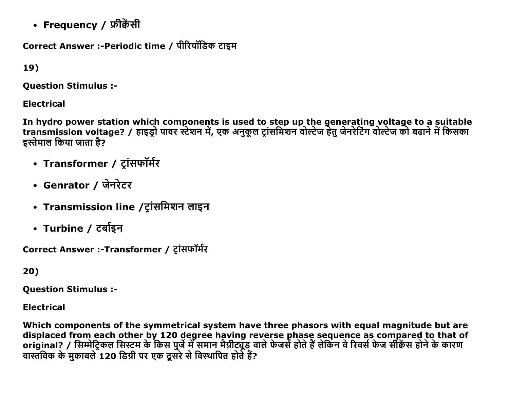• Frequency / फ्रीकेंसी

Correct Answer :-Periodic time / पीरियॉडिक टाइम

19)

**Ouestion Stimulus :-**

**Electrical** 

In hydro power station which components is used to step up the generating voltage to a suitable<br>transmission voltage? / हाइड्रो पावर स्टेशन में, एक अनुकूल ट्रांसमिशन वोल्टेज हेतु जेनरेटिंग वोल्टेज को बढाने में किसका इस्तेमाल किया जाता है?

- Transformer / ट्रांसफॉर्मर
- Genrator / जेनरेटर
- Transmission line /ट्रांसमिशन लाइन
- Turbine / टर्बाइन

Correct Answer :-Transformer / टांसफॉर्मर

20)

**Question Stimulus :-**

**Electrical** 

Which components of the symmetrical system have three phasors with equal magnitude but are displaced from each other by 120 degree having reverse phase sequence as compared to that of original? / सिम्मेट्रिकल सिस्टम के किस पुर्जे में समान मैग्नीट्यूड वाले फेजर्स होते हैं लेकिन वे रिवर्स फेज सीकेंस होने के कारण वास्तविक के मुकाबले 120 डिग्री पर एक दूसरे से विस्थापित होते हैं?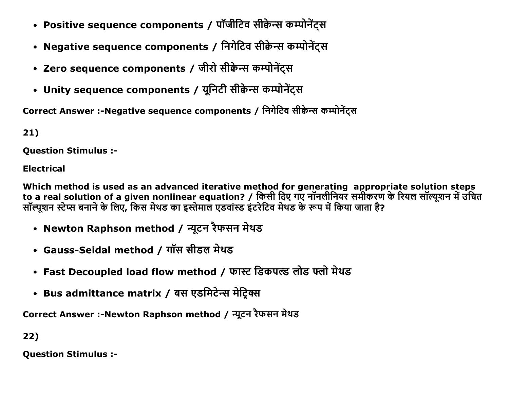- Positive sequence components / पॉजीटिव सीक्वेन्स कम्पोनेंट्स
- Negative sequence components / निगेटिव सीक्वेन्स कम्पोनेंटस
- Zero sequence components / जीरो सीक्वेन्स कम्पोनेंट्स
- Unity sequence components / यूनिटी सीक्वेन्स कम्पोनेंट्स

Correct Answer :-Negative sequence components / निगेटिव सीक्वेन्स कम्पोनेंट्स

 $21)$ 

**Ouestion Stimulus :-**

**Electrical** 

Which method is used as an advanced iterative method for generating appropriate solution steps to a real solution of a given nonlinear equation? / किसी दिए गए नॉनलीनियर समीकरण के रियल सॉल्यूशन में उचित सॉल्यूशन स्टेप्स बनाने के लिए, किस मेथड का इस्तेमाल एडवांस्ड इंटरेटिव मेथड के रूप में किया जाता है?

- Newton Raphson method / न्यूटन रैफसन मेथड
- Gauss-Seidal method / गॉस सीडल मेथड
- Fast Decoupled load flow method / फास्ट डिकपल्ड लोड फ्लो मेथड
- Bus admittance matrix / बस एडमिटेन्स मेट्रिक्स

Correct Answer :-Newton Raphson method / न्यूटन रैफसन मेथड

22)

**Question Stimulus :-**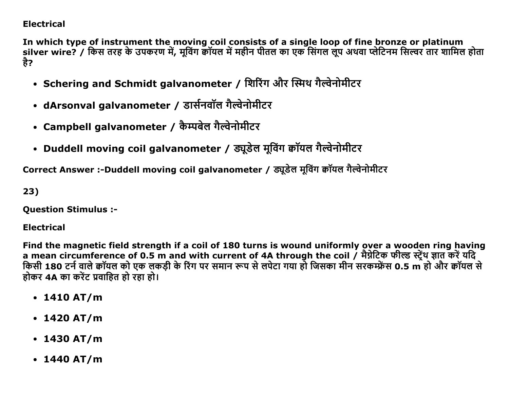### **Electrical**

In which type of instrument the moving coil consists of a single loop of fine bronze or platinum silver wire? / किस तरह के उपकरण में, मूविंग कॉयल में महीन पीतल का एक सिंगल लूप अथवा प्लेटिनम सिल्वर तार शामिल होता है?

- Schering and Schmidt galvanometer / शिरिंग और स्मिथ गैल्वेनोमीटर
- dArsonval galvanometer / डार्सनवॉल गैल्वेनोमीटर
- Campbell galvanometer / कैम्पबेल गैल्वेनोमीटर
- Duddell moving coil galvanometer / ड्यूडेल मूविंग क्वॉयल गैल्वेनोमीटर

Correct Answer :-Duddell moving coil galvanometer / ड्यूडेल मूविंग क्वॉयल गैल्वेनोमीटर

23)

**Question Stimulus :-**

**Electrical** 

Find the magnetic field strength if a coil of 180 turns is wound uniformly over a wooden ring having a mean circumference of 0.5 m and with current of 4A through the coil / मैग्नेटिक फील्ड स्ट्रेंथ ज्ञात करें यदि किसी 180 टर्न वाले कॉयल को एक लकड़ी के रिंग पर समान रूप से लपेटा गया हो जिसका मीन सरकम्फ्रेंस 0.5 m हो और कॉयल से होकर 4A का करेंट प्रवाहित हो रहा हो।

- $\cdot$  1410 AT/m
- $\cdot$  1420 AT/m
- $\cdot$  1430 AT/m
- $\cdot$  1440 AT/m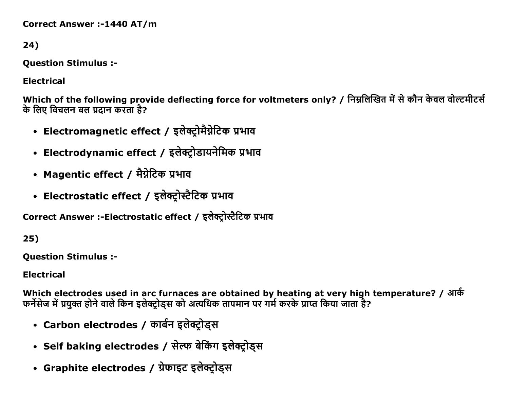**Correct Answer :-1440 AT/m** 

24)

**Question Stimulus :-**

**Electrical** 

Which of the following provide deflecting force for voltmeters only? / निम्नलिखित में से कौन केवल वोल्टमीटर्स के लिए विचलन बल प्रदान करता है?

- Electromagnetic effect / इलेक्ट्रोमैग्नेटिक प्रभाव
- Electrodynamic effect / इलेक्ट्रोडायनेमिक प्रभाव
- Magentic effect / मैग्नेटिक प्रभाव
- Electrostatic effect / इलेक्ट्रोस्टैटिक प्रभाव

Correct Answer :-Electrostatic effect / इलेक्ट्रोस्टैटिक प्रभाव

 $25)$ 

**Ouestion Stimulus :-**

**Electrical** 

Which electrodes used in arc furnaces are obtained by heating at very high temperature? / आर्क फर्नेसेज में प्रयक्त होने वाले किन इलेक्टोडस को अत्यधिक तापमान पर गर्म करके प्राप्त किया जाता है?

- Carbon electrodes / कार्बन इलेक्ट्रोड्स
- Self baking electrodes / सेल्फ बेकिंग इलेक्ट्रोड्स
- Graphite electrodes / ग्रेफाइट इलेक्ट्रोड्स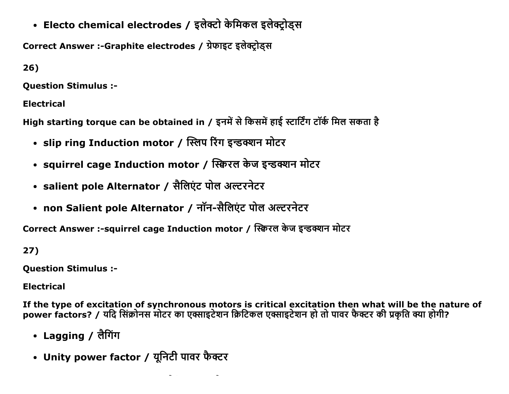• Electo chemical electrodes / इलेक्टो केमिकल इलेक्ट्रोड्स

Correct Answer :-Graphite electrodes / ग्रेफाइट इलेक्टोडस

 $26)$ 

**Ouestion Stimulus :-**

**Electrical** 

High starting torque can be obtained in / इनमें से किसमें हाई स्टार्टिंग टॉर्क मिल सकता है

- slip ring Induction motor / स्लिप रिंग इन्डक्शन मोटर
- squirrel cage Induction motor / स्क्विरल केज इन्डक्शन मोटर
- salient pole Alternator / सैलिएंट पोल अल्टरनेटर
- non Salient pole Alternator / नॉन-सैलिएंट पोल अल्टरनेटर

 $\sim$  100  $\pm$ 

Correct Answer :-squirrel cage Induction motor / स्क्विरल केज इन्डक्शन मोटर

 $27)$ 

**Question Stimulus :-**

**Electrical** 

If the type of excitation of synchronous motors is critical excitation then what will be the nature of power factors? / यदि सिंक्रोनस मोटर का एक्साइटेशन क्रिटिकल एक्साइटेशन हो तो पावर फैक्टर की प्रकृति क्या होगी?

- Lagging / लैगिंग
- Unity power factor / यूनिटी पावर फैक्टर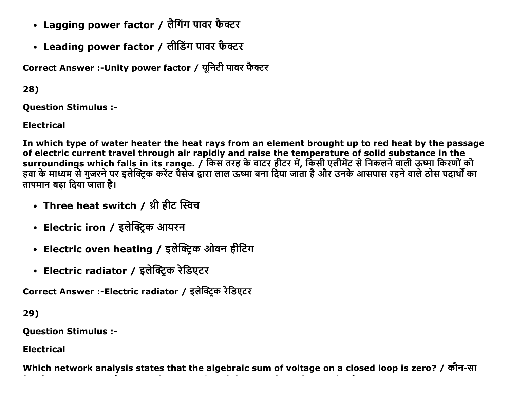- Lagging power factor / लैगिंग पावर फैक्टर
- Leading power factor / लीडिंग पावर फैक्टर

Correct Answer :-Unity power factor / यूनिटी पावर फैक्टर

28)

**Ouestion Stimulus :-**

**Electrical** 

In which type of water heater the heat rays from an element brought up to red heat by the passage of electric current travel through air rapidly and raise the temperature of solid substance in the surroundings which falls in its range. / किस तरह के वाटर हीटर में, किसी एलीमेंट से निकलने वाली ऊष्मा किरणों को<br>हवा के माध्यम से गुजरने पर इलेक्ट्रिक करेंट पैसेज द्वारा लाल ऊष्मा बना दिया जाता है और उनके आसपास रहने वाले ठो तापमान बढा दिया जाता है।

- Three heat switch / थ्री हीट स्विच
- Electric iron / इलेक्ट्रिक आयरन
- Electric oven heating / इलेक्ट्रिक ओवन हीटिंग
- Electric radiator / इलेक्ट्रिक रेडिएटर

Correct Answer :-Electric radiator / इलेक्ट्रिक रेडिएटर

29)

**Question Stimulus :-**

**Electrical** 

Which network analysis states that the algebraic sum of voltage on a closed loop is zero? / कौन-सा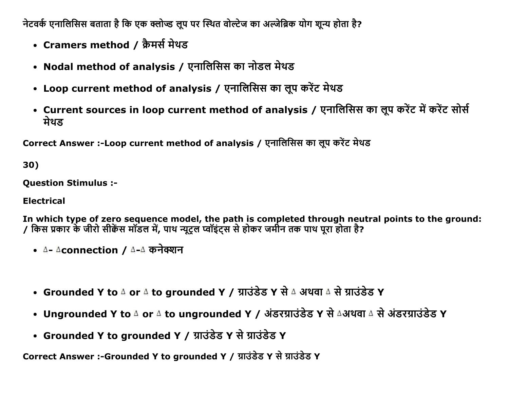नेटवर्क एनालिसिस बताता है कि एक क्लोज्ड लूप पर स्थित वोल्टेज का अल्जेब्रिक योग शून्य होता है?

- Cramers method / क्रैमर्स मेथड
- Nodal method of analysis / एनालिसिस का नोडल मेथड
- Loop current method of analysis / एनालिसिस का लूप करेंट मेथड
- Current sources in loop current method of analysis / एनालिसिस का लूप करेंट में करेंट सोर्स मेथड

Correct Answer :-Loop current method of analysis / एनालिसिस का लुप करेंट मेथड

30)

**Ouestion Stimulus :-**

**Electrical** 

In which type of zero sequence model, the path is completed through neutral points to the ground: / किस प्रकार के जीरो सीक्वेंस मॉडल में, पाथ न्यूट्रल प्वॉइंट्स से होकर जमीन तक पाथ पूरा होता है?

- A- Aconnection / A-A कनेक्शन
- Grounded Y to 4 or 4 to grounded Y / ग्राउंडेड Y से 4 अथवा 4 से ग्राउंडेड Y
- Ungrounded Y to 4 or 4 to ungrounded Y / अंडरग्राउंडेड Y से ∆अथवा 4 से अंडरग्राउंडेड Y
- Grounded Y to grounded Y / ग्राउंडेड Y से ग्राउंडेड Y

Correct Answer :-Grounded Y to grounded Y / ग्राउंडेड Y से ग्राउंडेड Y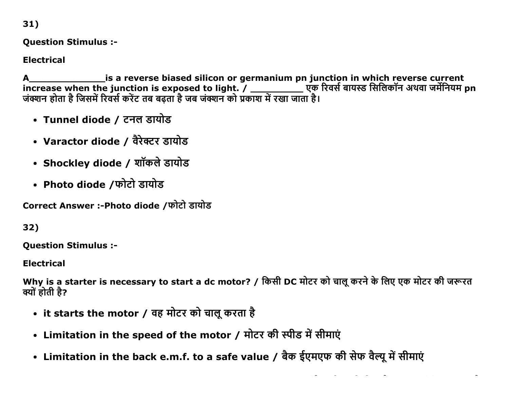31)

**Question Stimulus :-**

**Electrical** 

increase when the junction is exposed to light. / \_\_\_\_\_\_\_\_\_\_\_ एक रिवर्स बायस्ड सिलिकॉन अथवा जर्मेनियम pn जंक्शन होता है जिसमें रिवर्स करेंट तब बढ़ता है जब जंक्शन को प्रकाश में रखा जाता है।

- Tunnel diode / टनल डायोड
- Varactor diode / वैरेक्टर डायोड
- Shockley diode / शॉकले डायोड
- Photo diode /फोटो डायोड

Correct Answer :-Photo diode /फोटो डायोड

32)

**Question Stimulus :-**

**Electrical** 

Why is a starter is necessary to start a dc motor? / किसी DC मोटर को चालू करने के लिए एक मोटर की जरूरत क्यों होती है?

- it starts the motor / वह मोटर को चालू करता है
- Limitation in the speed of the motor / मोटर की स्पीड में सीमाएं
- Limitation in the back e.m.f. to a safe value / बैक ईएमएफ की सेफ वैल्यू में सीमाएं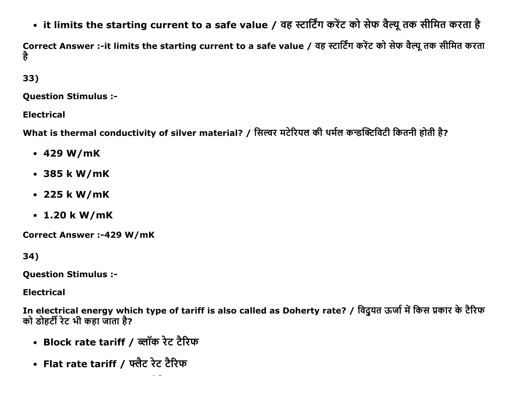• it limits the starting current to a safe value / वह स्टार्टिंग करेंट को सेफ वैल्यू तक सीमित करता है

Correct Answer :-it limits the starting current to a safe value / वह स्टार्टिंग करेंट को सेफ वैल्यू तक सीमित करता है

33)

**Ouestion Stimulus :-**

**Electrical** 

What is thermal conductivity of silver material? / सिल्वर मटेरियल की थर्मल कन्डक्टिविटी कितनी होती है?

- $\cdot$  429 W/mK
- 385 k W/mK
- $\cdot$  225 k W/mK
- $\cdot$  1.20 k W/mK

**Correct Answer :-429 W/mK** 

34)

**Question Stimulus :-**

**Electrical** 

In electrical energy which type of tariff is also called as Doherty rate? / विदुयत ऊर्जा में किस प्रकार के टैरिफ को डोहर्टी रेट भी कहा जाता है?

- Block rate tariff / ब्लॉक रेट टैरिफ
- Flat rate tariff / फ्लैट रेट टैरिफ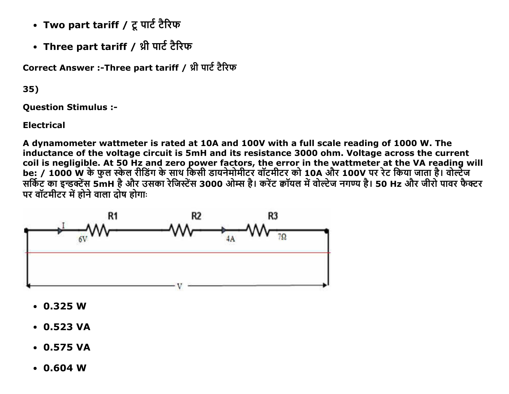- Two part tariff / टू पार्ट टैरिफ
- Three part tariff / थ्री पार्ट टैरिफ

Correct Answer :-Three part tariff / थ्री पार्ट टैरिफ

35)

**Ouestion Stimulus :-**

**Electrical** 

A dynamometer wattmeter is rated at 10A and 100V with a full scale reading of 1000 W. The inductance of the voltage circuit is 5mH and its resistance 3000 ohm. Voltage across the current coil is negligible. At 50 Hz and zero power factors, the error in the wattmeter at the VA reading will<br>be: / 1000 W के फुल स्केल रीडिंग के साथ किसी डायनेमोमीटर वॉटमीटर को 10A और 100V पर रेट किया जाता है। वोल्टेज सर्किट का इन्डक्टेंस 5mH है और उसका रेजिस्टेंस 3000 ओम्स है। करेंट कॉयल में वोल्टेज नगण्य है। 50 Hz और जीरो पावर फैक्टर पर वॉटमीटर में होने वाला दोष होगाः



- $\cdot$  0.325 W
- $\cdot$  0.523 VA
- $\cdot$  0.575 VA
- $\cdot$  0.604 W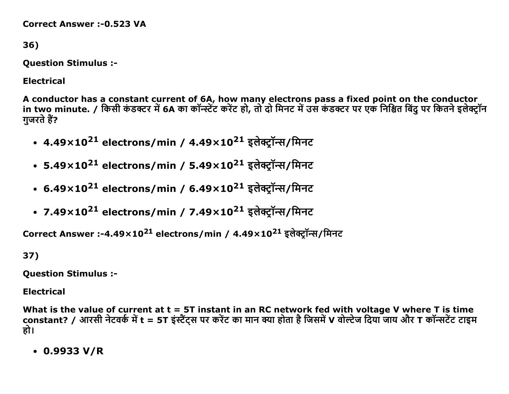**Correct Answer :- 0.523 VA** 

36)

**Question Stimulus :-**

**Electrical** 

A conductor has a constant current of 6A, how many electrons pass a fixed point on the conductor in two minute. / किसी कंडक्टर में 6A का कॉन्स्टेंट करेंट हो, तो दो मिनट में उस कंडक्टर पर एक निश्चित बिंदु पर कितने इलेक्ट्रॉन गजरते हैं?

- 4.49×10<sup>21</sup> electrons/min / 4.49×10<sup>21</sup> इलेक्ट्रॉन्स/मिनट
- 5.49×10<sup>21</sup> electrons/min / 5.49×10<sup>21</sup> इलेक्टॉन्स/मिनट
- 6.49×10<sup>21</sup> electrons/min / 6.49×10<sup>21</sup> इलेक्ट्रॉन्स/मिनट
- 7.49×10<sup>21</sup> electrons/min / 7.49×10<sup>21</sup> इलेक्ट्रॉन्स/मिनट

Correct Answer :-4.49×10<sup>21</sup> electrons/min / 4.49×10<sup>21</sup> इलेक्ट्रॉन्स/मिनट

37)

**Question Stimulus :-**

**Electrical** 

What is the value of current at  $t = 5T$  instant in an RC network fed with voltage V where T is time constant? / आरसी नेटवर्क में t = 5T इंस्टैंट्स पर करेंट का मान क्या होता है जिसमें V वोल्टेज दिया जाय और T कॉन्सटेंट टाइम हो।

 $\cdot$  0.9933 V/R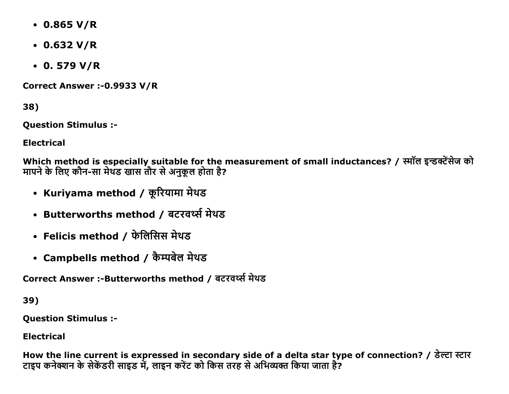- $\cdot$  0.865 V/R
- $\cdot$  0.632 V/R
- $\cdot$  0.579 V/R

Correct Answer :- 0.9933 V/R

38)

**Question Stimulus :-**

**Electrical** 

Which method is especially suitable for the measurement of small inductances? / स्मॉल इन्डक्टेंसेज को मापने के लिए कौन-सा मेथड खास तौर से अनुकूल होता है?

- Kuriyama method / कूरियामा मेथड
- Butterworths method / बटरवर्थ्स मेथड
- Felicis method / फेलिसिस मेथड
- Campbells method / कैम्पबेल मेथड

Correct Answer :-Butterworths method / बटरवर्थ्स मेथड

39)

**Ouestion Stimulus :-**

**Electrical** 

How the line current is expressed in secondary side of a delta star type of connection? / डेल्टा स्टार टाइप कनेक्शन के सेकेंडरी साइड में, लाइन करेंट को किस तरह से अभिव्यक्त किया जाता है?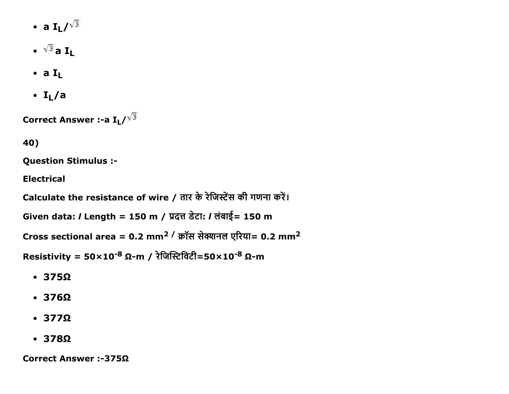- a  $I_L/v^3$
- $\cdot \sqrt{3}$  a I<sub>L</sub>
- $\bullet$  a  $I_L$
- $\bullet$  I<sub>I</sub>/a

Correct Answer :- a  $\mathbf{I}_L/\sqrt{3}$ 

40)

**Question Stimulus :-**

**Electrical** 

Calculate the resistance of wire / तार के रेजिस्टेंस की गणना करें।

Given data: / Length = 150 m / प्रदत्त डेटा: / लंबाई= 150 m

Cross sectional area =  $0.2$  mm<sup>2</sup> / क्रॉस सेक्शनल एरिया= 0.2 mm<sup>2</sup>

Resistivity =  $50 \times 10^{-8}$  Ω-m / रेजिस्टिविटी= $50 \times 10^{-8}$  Ω-m

- $\cdot$  375 $\Omega$
- $-376\Omega$
- $\cdot$  377 $\Omega$
- $\cdot$  378 $\Omega$

Correct Answer :-375Ω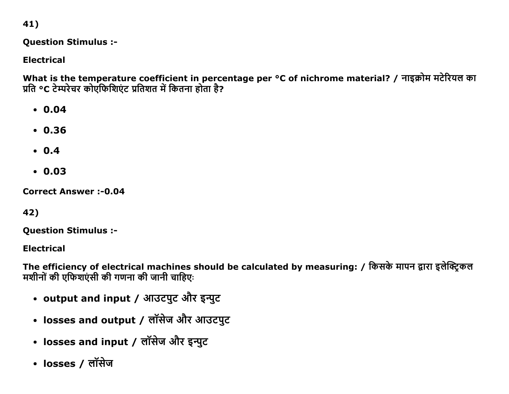41)

**Question Stimulus :-**

**Electrical** 

What is the temperature coefficient in percentage per °C of nichrome material? / नाइक्रोम मटेरियल का प्रति °C टेम्परेचर कोएफिशिएंट प्रतिशत में कितना होता है?

- $0.04$
- $.0.36$
- $0.4$
- $0.03$

**Correct Answer:-0.04** 

42)

**Question Stimulus :-**

**Electrical** 

The efficiency of electrical machines should be calculated by measuring: / किसके मापन द्वारा इलेक्ट्रिकल मशीनों की एफिशएंसी की गणना की जानी चाहिए:

- output and input / आउटपुट और इन्पुट
- losses and output / लॉसेज और आउटपुट
- losses and input / लॉसेज और इन्पुट
- losses / लॉसेज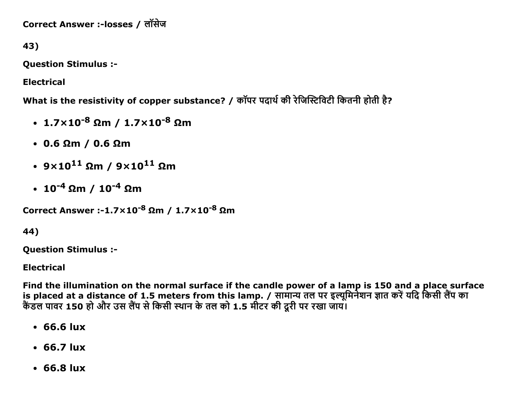Correct Answer :-losses / लॉसेज

43)

Question Stimulus :

Electrical

What is the resistivity of copper substance? / कॉपर पदार्थ की रेजिस्टिविटी कितनी होती है?

- $1.7\times10^{-8}$  Ωm /  $1.7\times10^{-8}$  Ωm
- 0.6 Ωm / 0.6 Ωm
- $9 \times 10^{11}$  Ωm /  $9 \times 10^{11}$  Ωm
- $\cdot$  10<sup>-4</sup> Ωm / 10<sup>-4</sup> Ωm

```
Correct Answer :-1.7×10<sup>-8</sup> Ωm / 1.7×10<sup>-8</sup> Ωm
```
44)

Question Stimulus :

Electrical

Find the illumination on the normal surface if the candle power of a lamp is 150 and a place surface is placed at a distance of 1.5 meters from this lamp. / सामान्य तल पर इल्यूमिनेशन ज्ञात करें यदि किसी लैंप का कैंडल पावर 150 हो और उस लैंप से किसी स्थान के तल को 1.5 मीटर की दूरी पर रखा जाय।

- 66.6 lux
- 66.7 lux
- 66.8 lux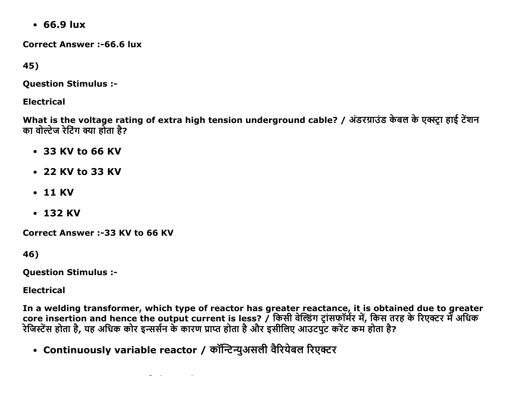$\cdot$  66.9 lux

**Correct Answer:-66.6 lux** 

45)

**Question Stimulus :-**

**Electrical** 

What is the voltage rating of extra high tension underground cable? / अंडरग्राउंड केबल के एक्स्ट्रा हाई टेंशन का वोल्टेज रेटिंग क्या होता है?

- 33 KV to 66 KV
- 22 KV to 33 KV
- $\cdot$  11 KV
- $\cdot$  132 KV

**Correct Answer :-33 KV to 66 KV** 

46)

**Ouestion Stimulus :-**

**Electrical** 

In a welding transformer, which type of reactor has greater reactance, it is obtained due to greater core insertion and hence the output current is less? / किसी वेल्डिंग ट्रांसफॉर्मर में, किस तरह के रिएक्टर में अधिक रेजिस्टेंस होता है, यह अधिक कोर इन्सर्सन के कारण प्राप्त होता है और इसीलिए आउटपुट करेंट कम होता है?

• Continuously variable reactor / कॉन्टिन्युअसली वैरियेबल रिएक्टर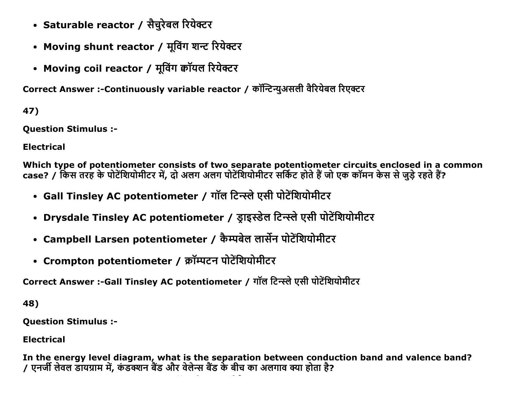- Saturable reactor / सैचुरेबल रियेक्टर
- Moving shunt reactor / मूविंग शन्ट रियेक्टर
- Moving coil reactor / मूविंग कॉयल रियेक्टर

Correct Answer :-Continuously variable reactor / कॉन्टिन्युअसली वैरियेबल रिएक्टर

47)

Question Stimulus :

Electrical

Which type of potentiometer consists of two separate potentiometer circuits enclosed in a common case? / किस तरह के पोटेंशियोमीटर में, दो अलग अलग पोटेंशियोमीटर सर्किट होते हैं जो एक कॉमन केस से जुड़े रहते हैं?

- Gall Tinsley AC potentiometer / गॉल टिन्स्ले एसी पोटेंशियोमीटर
- Drysdale Tinsley AC potentiometer / ड्राइस्डेल टिन्स्ले एसी पोटेंशियोमीटर
- Campbell Larsen potentiometer / कैम्पबेल लार्सेन पोटेंशियोमीटर
- Crompton potentiometer / क्रॉम्पटन पोटेंशियोमीटर

Correct Answer :-Gall Tinsley AC potentiometer / गॉल टिन्स्ले एसी पोटेंशियोमीटर

48)

Question Stimulus :

Electrical

In the energy level diagram, what is the separation between conduction band and valence band? / एċजŎ लĸęल ĄĭĒŤĭđ đŐ, कŃ Ąƕċ ďœĄ औē ęĸलĸĀ ďœĄ कĸ ďıच कĭ अलगĭę Ɛĭ Ğļćĭ ĞĹ?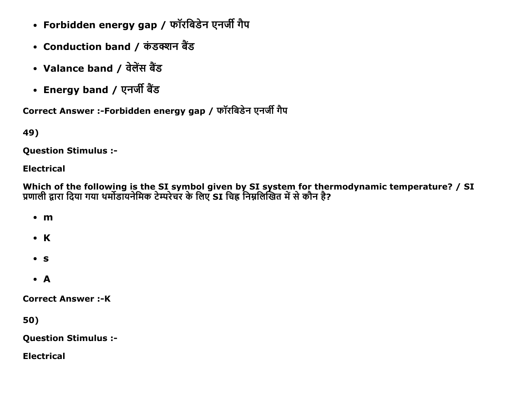- Forbidden energy gap / फॉरबिडेन एनर्जी गैप
- Conduction band / कंडक्शन बैंड
- Valance band / वेलेंस बैंड
- Energy band / एनर्जी बैंड

Correct Answer :-Forbidden energy gap / फॉरबिडेन एनर्जी गैप

49)

**Ouestion Stimulus :-**

#### **Electrical**

Which of the following is the SI symbol given by SI system for thermodynamic temperature? / SI<br>प्रणाली द्वारा दिया गया थर्मोडायनेमिक टेम्परेचर के लिए SI चिह्न निम्नलिखित में से कौन है?

 $\cdot$  m

- $\bullet$  K
- $\bullet$  S
- $\bullet$  A

**Correct Answer:-K** 

50)

**Question Stimulus :-**

**Electrical**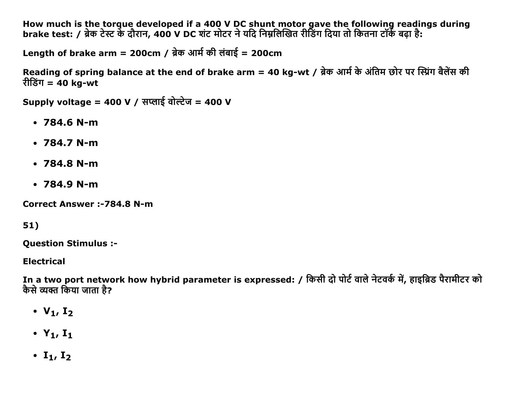How much is the torque developed if a 400 V DC shunt motor gave the following readings during brake test: / ब्रेक टेस्ट के दौरान, 400 V DC शंट मोटर ने यदि निम्नलिखित रीडिंग दिया तो कितना टॉर्क बढ़ा है:

Length of brake arm = 200cm / ब्रेक आर्म की लंबाई = 200cm

Reading of spring balance at the end of brake arm = 40 kg-wt / ब्रेक आर्म के अंतिम छोर पर स्प्रिंग बैलेंस की रीडिंग = 40 kg-wt

Supply voltage = 400 V / सप्लाई वोल्टेज = 400 V

- $\cdot$  784.6 N-m
- $\cdot$  784.7 N-m
- $\cdot$  784.8 N-m
- $\cdot$  784.9 N-m

**Correct Answer :- 784.8 N-m** 

51)

**Question Stimulus :-**

**Electrical** 

In a two port network how hybrid parameter is expressed: / किसी दो पोर्ट वाले नेटवर्क में, हाइब्रिड पैरामीटर को कैसे व्यक्त किया जाता है?

- $V_1, I_2$
- $Y_1$ ,  $I_1$
- $\cdot$  I<sub>1</sub>, I<sub>2</sub>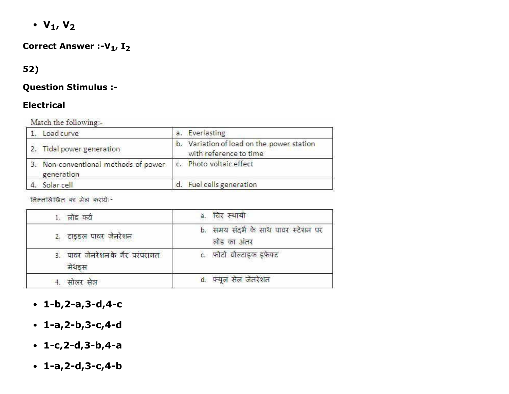$\cdot$  V<sub>1</sub>, V<sub>2</sub>

# Correct Answer :- $V_1$ ,  $I_2$

## 52)

#### Question Stimulus :

### Electrical

Match the following-

| Load curve                                                                   | a. Everlasting                                                      |
|------------------------------------------------------------------------------|---------------------------------------------------------------------|
| 2. Tidal power generation                                                    | b. Variation of load on the power station<br>with reference to time |
| 3. Non-conventional methods of power   c. Photo voltaic effect<br>generation |                                                                     |
| Solar cell                                                                   | d. Fuel cells generation                                            |

निम्नलिखित का मेल कराये:-

| 1. लोड कर्व                              | a. चिर स्थायी                                      |
|------------------------------------------|----------------------------------------------------|
| 2. टाइडल पावर जैनरेशन                    | b. समय संदर्भ के साथ पावर स्टेशन पर<br>लोड का अंतर |
| 3. पावर जेनरेशन के गैर परंपरागत<br>मेथडस | c. फोटो वोल्टाइक इफेक्ट                            |
| सालर सल                                  | फ्यूल सेल जेनरेशन                                  |

- $-1-b, 2-a, 3-d, 4-c$
- $-1-a, 2-b, 3-c, 4-d$
- $-1-c, 2-d, 3-b, 4-a$
- $-1-a, 2-d, 3-c, 4-b$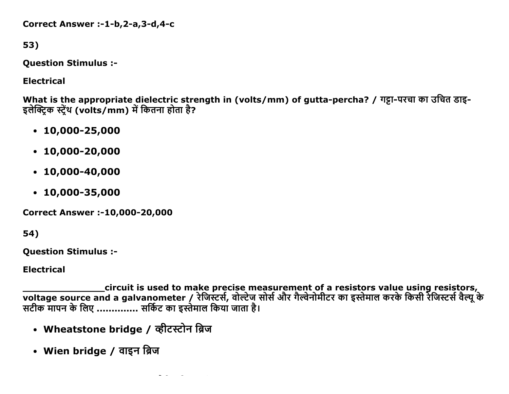Correct Answer :-1-b,2-a,3-d,4-c

53)

**Question Stimulus :-**

**Electrical** 

What is the appropriate dielectric strength in (volts/mm) of gutta-percha? / गट्टा-परचा का उचित डाइ-इलेक्ट्रिक स्ट्रेंथ (volts/mm) में कितना होता है?

- $\cdot$  10,000-25,000
- $\cdot$  10,000-20,000
- $-10,000-40,000$
- $\cdot$  10,000-35,000

**Correct Answer :-10,000-20,000** 

54)

**Question Stimulus :-**

**Electrical** 

circuit is used to make precise measurement of a resistors value using resistors, 

- Wheatstone bridge / व्हीटस्टोन ब्रिज
- Wien bridge / वाइन ब्रिज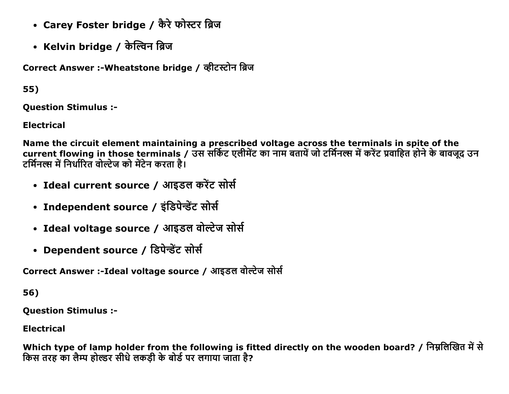- Carey Foster bridge / कैरे फोस्टर ब्रिज
- Kelvin bridge / केल्विन ब्रिज

Correct Answer :- Wheatstone bridge / व्हीटस्टोन ब्रिज

55)

**Ouestion Stimulus :-**

**Electrical** 

Name the circuit element maintaining a prescribed voltage across the terminals in spite of the current flowing in those terminals / उस सर्किट एलीमेंट का नाम बतायें जो टर्मिनल्स में करेंट प्रवाहित होने के बावजूद उन टर्मिनल्स में निर्धारित वोल्टेज को मेंटेन करता है।

- Ideal current source / आइडल करेंट सोर्स
- Independent source / इंडिपेन्डेंट सोर्स
- Ideal voltage source / आइडल वोल्टेज सोर्स
- Dependent source / डिपेन्डेंट सोर्स

Correct Answer :-Ideal voltage source / आइडल वोल्टेज सोर्स

56)

**Ouestion Stimulus :-**

**Electrical** 

Which type of lamp holder from the following is fitted directly on the wooden board? / निम्नलिखित में से किस तरह का लैम्प होल्डर सीधे लकड़ी के बोर्ड पर लगाया जाता है?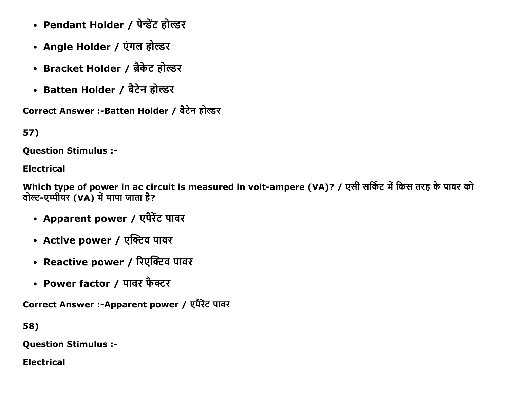- Pendant Holder / पेन्डेंट होल्डर
- Angle Holder / एंगल होल्डर
- Bracket Holder / ब्रैकेट होल्डर
- Batten Holder / बैटेन होल्डर

Correct Answer :-Batten Holder / बैटेन होल्डर

57)

**Ouestion Stimulus :-**

**Electrical** 

Which type of power in ac circuit is measured in volt-ampere (VA)? / एसी सर्किट में किस तरह के पावर को वोल्ट-एम्पीयर (VA) में मापा जाता है?

- Apparent power / एपैरेंट पावर
- Active power / एक्टिव पावर
- Reactive power / रिएक्टिव पावर
- Power factor / पावर फैक्टर

Correct Answer :-Apparent power / एपैरेंट पावर

58)

**Question Stimulus :-**

**Electrical**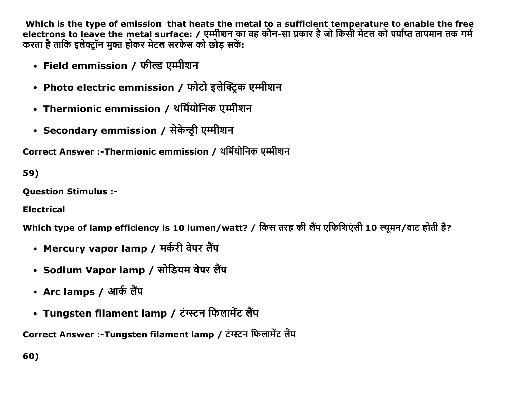Which is the type of emission that heats the metal to a sufficient temperature to enable the free electrons to leave the metal surface: / एम्मीशन का वह कौन-सा प्रकार है जो किसी मेटल को पर्याप्त तापमान तक गर्म करता है ताकि इलेक्ट्रॉन मुक्त होकर मेटल सरफेस को छोड़ सकें:

- Field emmission / फील्ड एम्मीशन
- Photo electric emmission / फोटो इलेक्टिक एम्मीशन
- Thermionic emmission / थर्मियोनिक एम्मीशन
- Secondary emmission / सेकेन्ड़ी एम्मीशन

Correct Answer :-Thermionic emmission / थर्मियोनिक एम्मीशन

59)

**Ouestion Stimulus :-**

**Electrical** 

Which type of lamp efficiency is 10 lumen/watt? / किस तरह की लैंप एफिशिएंसी 10 ल्यूमन/वाट होती है?

- Mercury vapor lamp / मर्करी वेपर लैंप
- Sodium Vapor lamp / सोडियम वेपर लैंप
- Arc lamps / आर्क लैंप
- Tungsten filament lamp / टंग्स्टन फिलामेंट लैंप

Correct Answer :-Tungsten filament lamp / टंग्स्टन फिलामेंट लैंप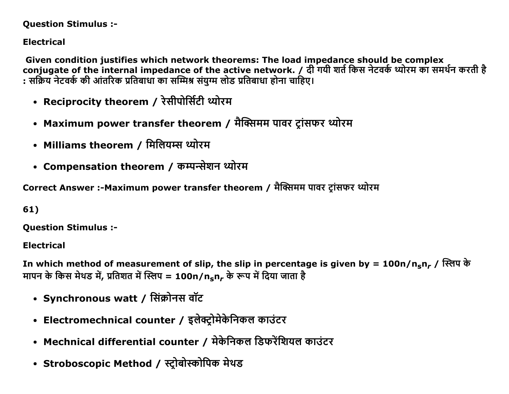#### **Question Stimulus :-**

**Electrical** 

Given condition justifies which network theorems: The load impedance should be complex conjugate of the internal impedance of the active network. / दी गयी शर्त किस नेटवर्क थ्योरम का समर्थन करती है : सक्रिय नेटवर्क की आंतरिक प्रतिबाधा का सम्मिश्र संयुग्म लोड प्रतिबाधा होना चाहिए।

- Reciprocity theorem / रेसीपोर्सिटी थ्योरम
- Maximum power transfer theorem / मैक्सिमम पावर ट्रांसफर थ्योरम
- Milliams theorem / मिलियम्स थ्योरम
- Compensation theorem / कम्पन्सेशन थ्योरम

Correct Answer :-Maximum power transfer theorem / मैक्सिमम पावर ट्रांसफर थ्योरम

61)

**Ouestion Stimulus :-**

**Electrical** 

In which method of measurement of slip, the slip in percentage is given by = 100n/n<sub>s</sub>n<sub>r</sub> / स्लिप के मापन के किस मेथड में, प्रतिशत में स्लिप = 100n/n<sub>s</sub>n, के रूप में दिया जाता है

- Synchronous watt / सिंक्रोनस वॉट
- Electromechnical counter / इलेक्ट्रोमेकेनिकल काउंटर
- Mechnical differential counter / मेकेनिकल डिफरेंशियल काउंटर
- Stroboscopic Method / स्ट्रोबोस्कोपिक मेथड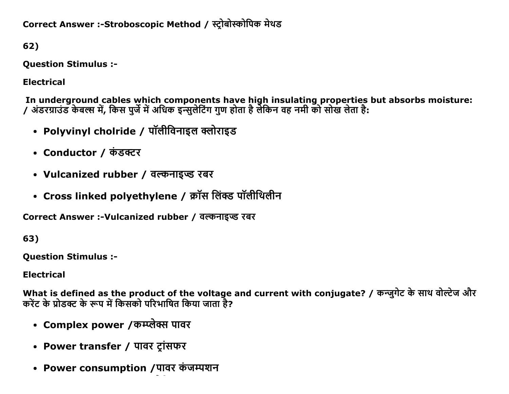Correct Answer :-Stroboscopic Method / स्टोबोस्कोपिक मेथड

62)

**Question Stimulus :-**

**Electrical** 

In underground cables which components have high insulating properties but absorbs moisture:<br>/ अंडरग्राउंड केबल्स में, किस पुर्जे में अधिक इन्सुलेटिंग गुण होता है लेकिन वह नमी को सोख लेता है:

- Polyvinyl cholride / पॉलीविनाइल क्लोराइड
- Conductor / कंडक्टर
- Vulcanized rubber / वल्कनाइप्ड रबर
- Cross linked polyethylene / क्रॉस लिंक्ड पॉलीथिलीन

Correct Answer :- Vulcanized rubber / वल्कनाइप्ड रबर

63)

**Ouestion Stimulus :-**

**Electrical** 

What is defined as the product of the voltage and current with conjugate? / कन्ज़्गेट के साथ वोल्टेज और करेंट के प्रोडक्ट के रूप में किसको परिभाषित किया जाता है?

- Complex power /कम्प्लेक्स पावर
- Power transfer / पावर टांसफर
- Power consumption /पावर कंजम्पशन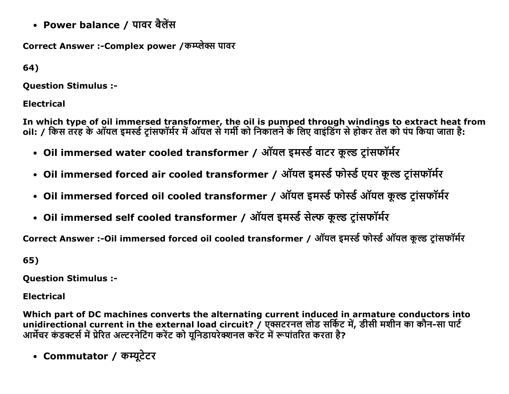• Power balance / पावर बैलेंस

Correct Answer :-Complex power / कम्प्लेक्स पावर

64)

**Ouestion Stimulus :-**

**Electrical** 

In which type of oil immersed transformer, the oil is pumped through windings to extract heat from<br>oil: / किस तरह के ऑयल इमर्स्ड ट्रांसफॉर्मर में ऑयल से गर्मी को निकालने के लिए वाइंडिंग से होकर तेल को पंप किया जाता है:

- Oil immersed water cooled transformer / ऑयल इमर्स्ड वाटर कूल्ड ट्रांसफॉर्मर
- Oil immersed forced air cooled transformer / ऑयल इमर्स्ड फोर्स्ड एयर कूल्ड ट्रांसफॉर्मर
- Oil immersed forced oil cooled transformer / ऑयल इमर्स्ड फोर्स्ड ऑयल कूल्ड ट्रांसफॉर्मर
- Oil immersed self cooled transformer / ऑयल इमर्स्ड सेल्फ कूल्ड ट्रांसफॉर्मर

Correct Answer :- Oil immersed forced oil cooled transformer / ऑयल इमर्स्ड फोर्स्ड ऑयल कूल्ड ट्रांसफॉर्मर

65)

**Question Stimulus :-**

**Electrical** 

Which part of DC machines converts the alternating current induced in armature conductors into unidirectional current in the external load circuit? / एक्सटरनल लोड सर्किट में, डीसी मशीन का कौन-सा पार्ट आर्मेचर कंडक्टर्स में प्रेरित अल्टरनेटिंग करेंट को यूनिडायरेक्शनल करेंट में रूपांतरित करता है?

• Commutator / कम्युटेटर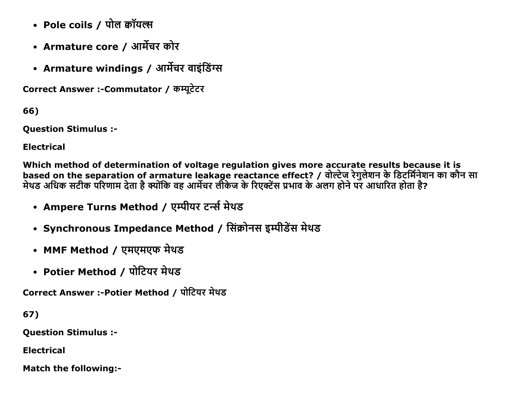- Pole coils / पोल कॉयल्स
- Armature core / आर्मेचर कोर
- Armature windings / आर्मेचर वाइंडिंग्स

Correct Answer :- Commutator / कम्यूटेटर

66)

**Question Stimulus :-**

**Electrical** 

Which method of determination of voltage regulation gives more accurate results because it is based on the separation of armature leakage reactance effect? / वोल्टेज रेगुलेशन के डिटर्मिनेशन का कौन सा मेथड अधिक सटीक परिणाम देता है क्योंकि वह आर्मेचर लीकेज के रिएक्टेंस प्रभाव के अलग होने पर आधारित होता है?

- Ampere Turns Method / एम्पीयर टर्न्स मेथड
- Synchronous Impedance Method / सिंक्रोनस इम्पीडेंस मेथड
- MMF Method / एमएमएफ मेथड
- Potier Method / पोटियर मेथड

Correct Answer :- Potier Method / पोटियर मेथड

67)

**Question Stimulus :-**

**Electrical** 

**Match the following:-**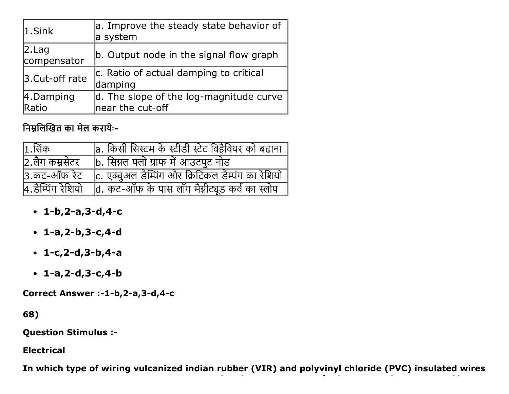| $ 1.S$ ink            | a. Improve the steady state behavior of<br>a system         |
|-----------------------|-------------------------------------------------------------|
| 2.Lag <br>compensator | b. Output node in the signal flow graph                     |
| 3. Cut-off rate       | c. Ratio of actual damping to critical<br>damping           |
| 4.Damping<br>Ratio    | d. The slope of the log-magnitude curve<br>near the cut-off |

निम्नलिखित का मेल करायेः-

| $ 1.$ सिंक        | a. किसी सिस्टम के स्टीडी स्टेट विहैवियर को बढाना  |
|-------------------|---------------------------------------------------|
| 2.लैग कम्रसेटर    | b. सिग्नल फ्लो ग्राफ में आउटपुट नोड               |
| 3.कट-ऑफ रेट       | c. एक्वुअल डैम्पिंग और क्रिटिकल डैम्पंग का रेशियो |
| 4.डैम्पिंग रेशियो | d. कट-ऑफ के पास लॉग मैग्नीट्यूड कर्व का स्लोप     |

- $1-b, 2-a, 3-d, 4-c$
- $-1-a, 2-b, 3-c, 4-d$
- $1-c, 2-d, 3-b, 4-a$
- $1-a, 2-d, 3-c, 4-b$

Correct Answer :-1-b,2-a,3-d,4-c

68)

**Question Stimulus :-**

**Electrical** 

In which type of wiring vulcanized indian rubber (VIR) and polyvinyl chloride (PVC) insulated wires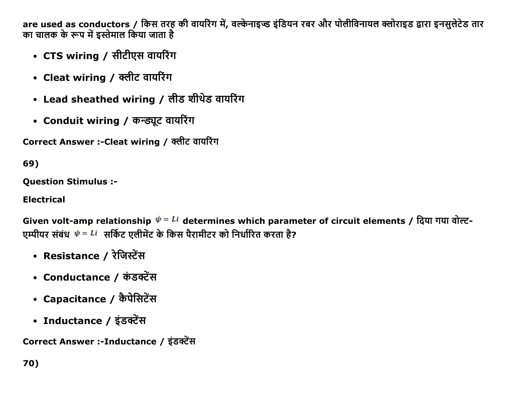are used as conductors / किस तरह की वायरिंग में, वल्केनाइज्ड इंडियन रबर और पोलीविनायल क्लोराइड द्वारा इनसुलेटेड तार का चालक के रूप में इस्तेमाल किया जाता है

- CTS wiring / सीटीएस वायरिंग
- Cleat wiring / क्लीट वायरिंग
- Lead sheathed wiring / लीड शीथेड वायरिंग
- Conduit wiring / कन्ड्यूट वायरिंग

Correct Answer :-Cleat wiring / क्लीट वायरिंग

69)

**Ouestion Stimulus :-**

**Electrical** 

Given volt-amp relationship  $\psi = Li$  determines which parameter of circuit elements / दिया गया वोल्ट-एम्पीयर संबंध  $\dot{\psi} = Li$  सर्किट एलीमेंट के किस पैरामीटर को निर्धारित करता है?

- Resistance / रेजिस्टेंस
- Conductance / कंडक्टेंस
- Capacitance / कैपेसिटेंस
- Inductance / इंडक्टेंस

Correct Answer :-Inductance / इंडक्टेंस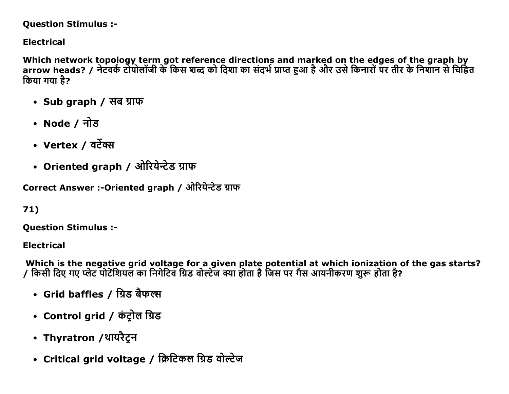#### **Question Stimulus :-**

**Electrical** 

Which network topology term got reference directions and marked on the edges of the graph by arrow heads? / नेटवर्क टोपोलॉजी के किस शब्द को दिशा का संदर्भ प्राप्त हुआ है और उसे किनारों पर तीर के निशान से चिहित किया गया है?

- Sub graph / सब ग्राफ
- Node / नोड
- Vertex / वर्टेक्स
- Oriented graph / ओरियेन्टेड ग्राफ

Correct Answer :-Oriented graph / ओरियेन्टेड ग्राफ

 $71)$ 

**Ouestion Stimulus :-**

**Electrical** 

Which is the negative grid voltage for a given plate potential at which ionization of the gas starts? / किसी दिए गए प्लेट पोटेंशियल का निगेटिव ग्रिड वोल्टेज क्या होता है जिस पर गैस आयनीकरण शुरू होता है?

- Grid baffles / ग्रिड बैफल्स
- Control grid / कंट्रोल ग्रिड
- Thyratron /थायरैट्रन
- Critical grid voltage / क्रिटिकल ग्रिड वोल्टेज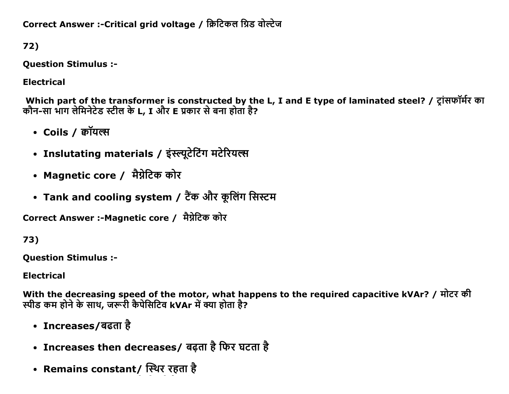Correct Answer :- Critical grid voltage / क्रिटिकल ग्रिड वोल्टेज

72)

**Question Stimulus :-**

**Electrical** 

Which part of the transformer is constructed by the L, I and E type of laminated steel? / ट्रांसफॉर्मर का कौन-सा भाग लेमिनेटेड स्टील के L, I और E प्रकार से बना होता है?

- Coils / कॉयल्स
- Inslutating materials / इंस्ल्यूटेटिंग मटेरियल्स
- Magnetic core / मैग्नेटिक कोर
- Tank and cooling system / टैंक और कूलिंग सिस्टम

Correct Answer :-Magnetic core / मैग्नेटिक कोर

73)

**Ouestion Stimulus :-**

**Electrical** 

With the decreasing speed of the motor, what happens to the required capacitive kVAr? / मोटर की स्पीड कम होने के साथ, जरूरी कैपेसिटिव kVAr में क्या होता है?

- Increases/बढता है
- Increases then decreases/ बढ़ता है फिर घटता है
- Remains constant/ स्थिर रहता है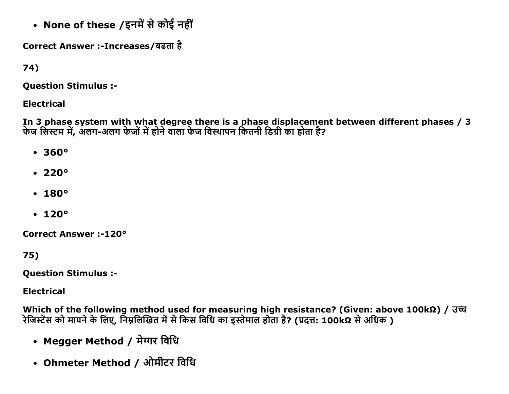• None of these /इनमें से कोई नहीं

Correct Answer :-Increases/बढता है

74)

**Question Stimulus :-**

**Electrical** 

In 3 phase system with what degree there is a phase displacement between different phases / 3 फेज सिस्टम में, अलग-अलग फेजों में होने वाला फेज विस्थापन कितनी डिग्री का होता है?

- $360°$
- $\cdot$  220 $\circ$
- $180°$
- $120°$

**Correct Answer:-120°** 

75)

**Ouestion Stimulus :-**

**Electrical** 

Which of the following method used for measuring high resistance? (Given: above 100kΩ) /  $\overline{3\overline{u}}$ रेजिस्टेंस को मापने के लिए, निम्नलिखित में से किस विधि का इस्तेमाल होता है? (प्रदत्त: 100kΩ से अधिक )

- Megger Method / मेग्गर विधि
- Ohmeter Method / ओमीटर विधि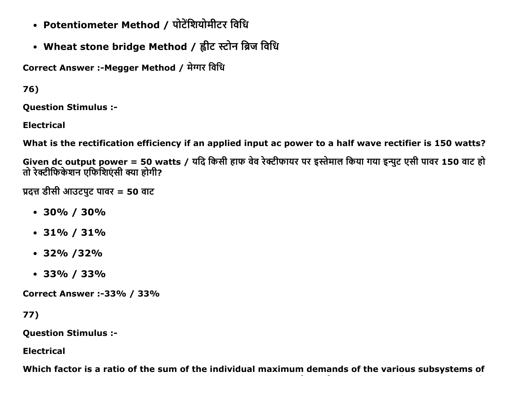- Potentiometer Method / पोटेंशियोमीटर विधि
- Wheat stone bridge Method / ह्वीट स्टोन ब्रिज विधि

Correct Answer :- Megger Method / मेग्गर विधि

76)

**Question Stimulus :-**

**Electrical** 

What is the rectification efficiency if an applied input ac power to a half wave rectifier is 150 watts?

Given dc output power = 50 watts / यदि किसी हाफ वेव रेक्टीफायर पर इस्तेमाल किया गया इन्पुट एसी पावर 150 वाट हो तो रेक्टीफिकेशन एफिशिएंसी क्या होगी?

प्रदत्त डीसी आउटपुट पावर = 50 वाट

- $\cdot$  30% / 30%
- $\cdot$  31% / 31%
- $\cdot$  32% /32%
- $\cdot$  33% / 33%

**Correct Answer :-33% / 33%** 

```
77)
```
**Question Stimulus :-**

**Electrical** 

Which factor is a ratio of the sum of the individual maximum demands of the various subsystems of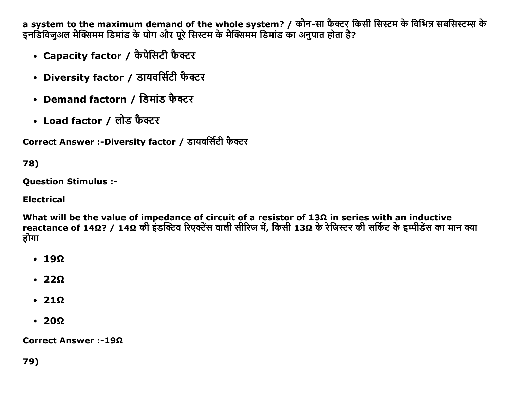a system to the maximum demand of the whole system? / कौन-सा फैक्टर किसी सिस्टम के विभिन्न सबसिस्टम्स के इनडिविजुअल मैक्सिमम डिमांड के योग और पूरे सिस्टम के मैक्सिमम डिमांड का अनुपात होता है?

- Capacity factor / कैपेसिटी फैक्टर
- Diversity factor / डायवर्सिटी फैक्टर
- Demand factorn / डिमांड फैक्टर
- Load factor / लोड फैक्टर

Correct Answer :-Diversity factor / डायवर्सिटी फैक्टर

78)

**Ouestion Stimulus :-**

**Electrical** 

What will be the value of impedance of circuit of a resistor of  $13\Omega$  in series with an inductive reactance of 14Ω? / 14Ω की इंडक्टिव रिएक्टेंस वाली सीरिज में, किसी 13Ω के रेजिस्टर की सर्किट के इम्पीडेंस का मान क्या होगा

- $\cdot$  19 $\Omega$
- $\cdot$  220
- $\cdot$  21 $\Omega$
- $\cdot$  20 $\Omega$

Correct Answer :-19 $\Omega$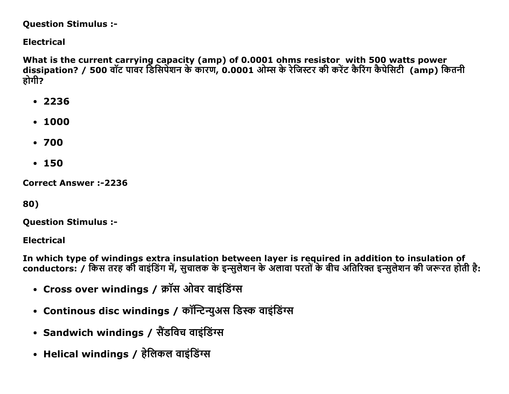#### **Question Stimulus :-**

### **Electrical**

What is the current carrying capacity (amp) of 0.0001 ohms resistor with 500 watts power dissipation? / 500 वॉट पावर डिसिपेशन के कारण, 0.0001 ओम्स के रेजिस्टर की करेंट कैरिंग कैपेसिटी (amp) कितनी होगी?

- $.2236$
- $-1000$
- $.700$
- $150$

**Correct Answer:-2236** 

80)

**Ouestion Stimulus :-**

**Electrical** 

In which type of windings extra insulation between layer is required in addition to insulation of conductors: / किस तरह की वाइंडिंग में, सुचालक के इन्सुलेशन के अलावा परतों के बीच अतिरिक्त इन्सुलेशन की जरूरत होती है:

- Cross over windings / क्रॉस ओवर वाइंडिंग्स
- Continous disc windings / कॉन्टिन्युअस डिस्क वाइंडिंग्स
- Sandwich windings / सैंडविच वाइंडिंग्स
- Helical windings / हेलिकल वाइंडिंग्स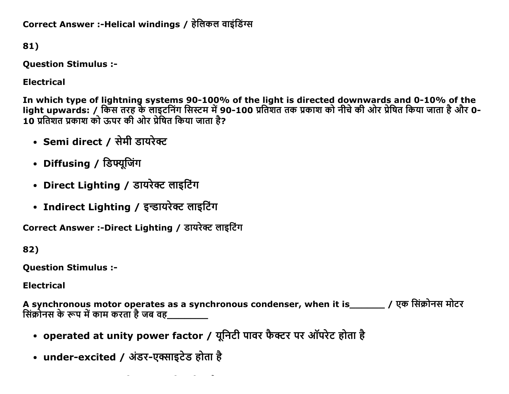Correct Answer :-Helical windings / हेलिकल वाइंडिंग्स

81)

**Question Stimulus :-**

**Electrical** 

In which type of lightning systems 90-100% of the light is directed downwards and 0-10% of the<br>light upwards: / किस तरह के लाइटनिंग सिस्टम में 90-100 प्रतिशत तक प्रकाश को नीचे की ओर प्रेषित किया जाता है और 0-10 प्रतिशत प्रकाश को ऊपर की ओर प्रेषित किया जाता है?

- Semi direct / सेमी डायरेक्ट
- Diffusing / डिफ्यूजिंग
- Direct Lighting / डायरेक्ट लाइटिंग
- Indirect Lighting / इन्डायरेक्ट लाइटिंग

Correct Answer :-Direct Lighting / डायरेक्ट लाइटिंग

82)

**Question Stimulus :-**

**Electrical** 

A synchronous motor operates as a synchronous condenser, when it is बिर्क़ र एक सिंक्रोनस मोटर सिंक्रोनस के रूप में काम करता है जब वह\_\_\_\_\_\_\_\_

- operated at unity power factor / यूनिटी पावर फैक्टर पर ऑपरेट होता है
- under-excited / अंडर-एक्साइटेड होता है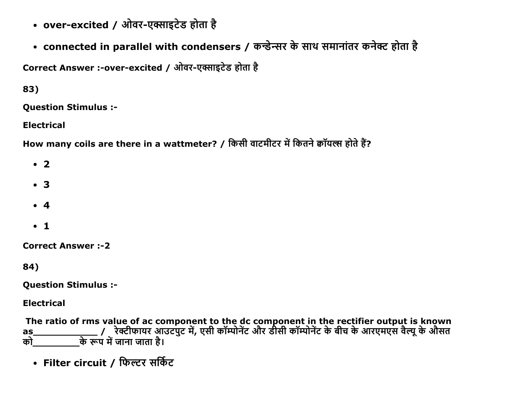- over-excited / ओवर-एक्साइटेड होता है
- connected in parallel with condensers / कन्डेन्सर के साथ समानांतर कनेक्ट होता है

Correct Answer :-over-excited / ओवर-एक्साइटेड होता है

83)

**Ouestion Stimulus :-**

**Electrical** 

How many coils are there in a wattmeter? / किसी वाटमीटर में कितने क्वॉयल्स होते हैं?

 $\cdot$  2

- $\bullet$  3
- $\bullet$  4
- $\bullet$  1

**Correct Answer:-2** 

84)

**Question Stimulus :-**

**Electrical** 

The ratio of rms value of ac component to the dc component in the rectifier output is known<br>as\_\_\_\_\_\_\_\_\_\_\_\_\_\_\_\_\_/ रेक्टीफायर आउटपुट में, एसी कॉम्पोनेंट और डीसी कॉम्पोनेंट के बीच के आरएमएस वैल्यू के औसत<br>को\_\_\_\_\_\_\_\_\_\_\_\_\_के as को

• Filter circuit / फिल्टर सर्किट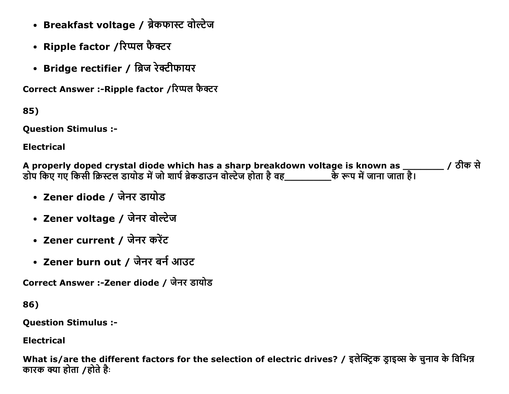- Breakfast voltage / ब्रेकफास्ट वोल्टेज
- Ripple factor /रिप्पल फैक्टर
- Bridge rectifier / ब्रिज रेक्टीफायर

Correct Answer :- Ripple factor /रिप्पल फैक्टर

85)

**Ouestion Stimulus :-**

**Electrical** 

A properly doped crystal diode which has a sharp breakdown voltage is known as \_\_\_\_\_\_\_ / ठीक से डोप किए गए किसी क्रिस्टल डायोड में जो शार्प ब्रेकडाउन वोल्टेज होता है वह\_\_\_\_\_\_\_\_\_\_\_के रूप में जाना जाता है।

- Zener diode / जेनर डायोड
- Zener voltage / जेनर वोल्टेज
- Zener current / जेनर करेंट
- Zener burn out / जेनर बर्न आउट

Correct Answer :-Zener diode / जेनर डायोड

86)

**Question Stimulus :-**

**Electrical** 

What is/are the different factors for the selection of electric drives? / इलेक्ट्रिक डाइव्स के चुनाव के विभिन्न कारक क्या होता /होते है: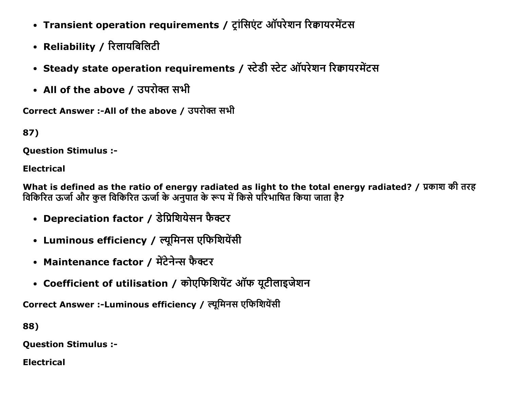- Transient operation requirements / ट्रांसिएंट ऑपरेशन रिक्वायरमेंटस
- Reliability / रिलायबिलिटी
- Steady state operation requirements / स्टेडी स्टेट ऑपरेशन रिक्वायरमेंटस
- All of the above / उपरोक्त सभी

Correct Answer :-All of the above / उपरोक्त सभी

87)

**Ouestion Stimulus :-**

**Electrical** 

What is defined as the ratio of energy radiated as light to the total energy radiated? / प्रकाश की तरह विकिरित ऊर्जा और कुल विकिरित ऊर्जा के अनुपात के रूप में किसे परिभाषित किया जाता है?

- Depreciation factor / डेप्रिशियेसन फैक्टर
- Luminous efficiency / ल्यूमिनस एफिशियेंसी
- Maintenance factor / मेंटेनेन्स फैक्टर
- Coefficient of utilisation / कोएफिशियेंट ऑफ यूटीलाइजेशन

Correct Answer :-Luminous efficiency / ल्यूमिनस एफिशियेंसी

88)

**Question Stimulus :-**

**Electrical**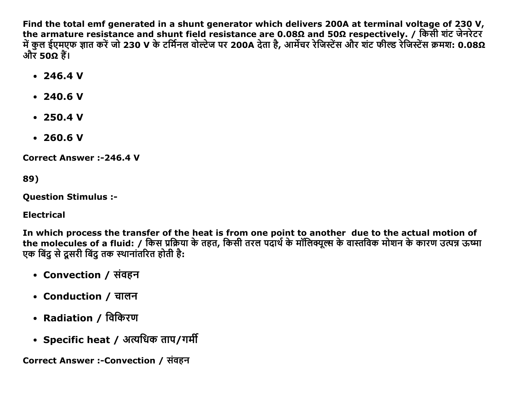Find the total emf generated in a shunt generator which delivers 200A at terminal voltage of 230 V, the armature resistance and shunt field resistance are 0.08Ω and 50Ω respectively. / किसी शंट जेनरेटर में कुल ईएमएफ ज्ञात करें जो 230 V के टर्मिनल वोल्टेज पर 200A देता है, आर्मेचर रेजिस्टेंस और शंट फील्ड रेजिस्टेंस क्रमश: 0.08Ω और 50 $\Omega$  हैं।

- $\cdot$  246.4 V
- $\cdot$  240.6 V
- $\cdot$  250.4 V
- $\cdot$  260.6 V

**Correct Answer:-246.4 V** 

89)

**Ouestion Stimulus :-**

**Electrical** 

In which process the transfer of the heat is from one point to another due to the actual motion of the molecules of a fluid: / किस प्रक्रिया के तहत, किसी तरल पदार्थ के मॉलिक्यूल्स के वास्तविक मोशन के कारण उत्पन्न ऊष्मा एक बिंद से दसरी बिंद तक स्थानांतरित होती है:

- Convection / संवहन
- Conduction / चालन
- Radiation / विकिरण
- Specific heat / अत्यधिक ताप/गर्मी

Correct Answer :-Convection / संवहन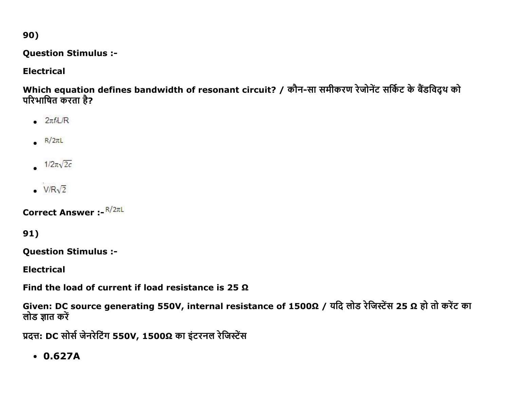90)

**Question Stimulus :-**

## **Electrical**

Which equation defines bandwidth of resonant circuit? / कौन-सा समीकरण रेजोनेंट सर्किट के बैंडविद्थ को परिभाषित करता है?

- $2\pi f \sim \text{R}$
- $R/2\pi L$
- $1/2\pi\sqrt{2c}$
- $V/R\sqrt{2}$

Correct Answer :- R/2TL

91)

**Question Stimulus :-**

**Electrical** 

Find the load of current if load resistance is 25  $\Omega$ 

Given: DC source generating 550V, internal resistance of 1500Ω / यदि लोड रेजिस्टेंस 25 Ω हो तो करेंट का लोड ज्ञात करें

प्रदत्त: DC सोर्स जेनरेटिंग 550V, 1500Ω का इंटरनल रेजिस्टेंस

 $0.627A$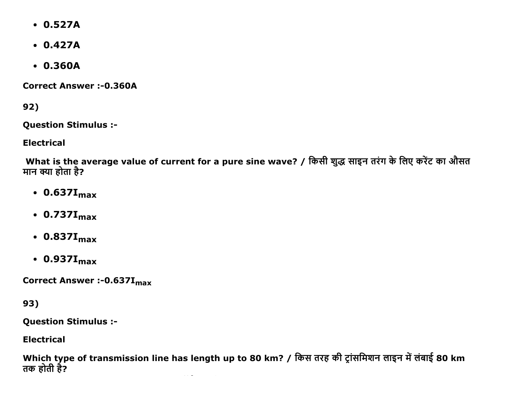- 0.527A
- 0.427A
- 0.360A

Correct Answer :-0.360A

92)

Question Stimulus :

Electrical

What is the average value of current for a pure sine wave? / किसी शुद्ध साइन तरंग के लिए करेंट का औसत मान क्या होता है?

- $\cdot$  0.637I<sub>max</sub>
- $\cdot$  0.737I<sub>max</sub>
- $\cdot$  0.837I<sub>max</sub>
- $\cdot$  0.937I<sub>max</sub>

Correct Answer :-0.637I<sub>max</sub>

93)

Question Stimulus :

**Electrical** 

Which type of transmission line has length up to 80 km? / किस तरह की ट्रांसमिशन लाइन में लंबाई 80 km तक होती है?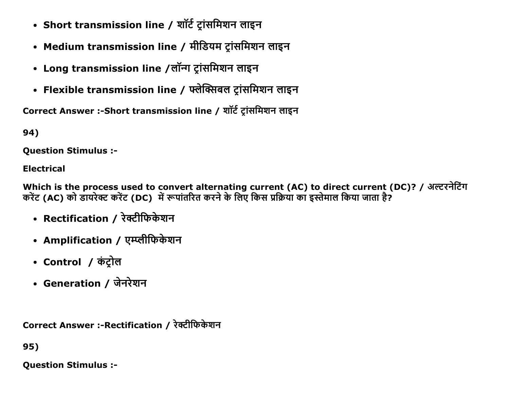- Short transmission line / शॉर्ट ट्रांसमिशन लाइन
- Medium transmission line / मीडियम ट्रांसमिशन लाइन
- Long transmission line /लॉन्ग ट्रांसमिशन लाइन
- Flexible transmission line / फ्लेक्सिबल ट्रांसमिशन लाइन

Correct Answer :-Short transmission line / शॉर्ट ट्रांसमिशन लाइन

94)

**Question Stimulus :-**

**Electrical** 

Which is the process used to convert alternating current (AC) to direct current (DC)? / अल्टरनेटिंग करेंट (AC) को डायरेक्ट करेंट (DC) में रूपांतरित करने के लिए किस प्रक्रिया का इस्तेमाल किया जाता है?

- Rectification / रेक्टीफिकेशन
- Amplification / एम्प्लीफिकेशन
- Control / कंट्रोल
- Generation / जेनरेशन

Correct Answer :-Rectification / रेक्टीफिकेशन

95)

**Ouestion Stimulus :-**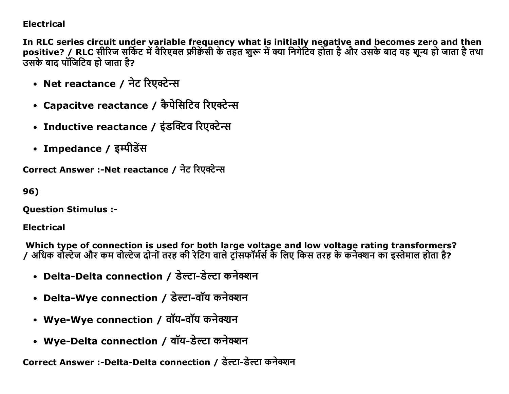## **Electrical**

In RLC series circuit under variable frequency what is initially negative and becomes zero and then positive? / RLC सीरिज सर्किट में वैरिएबल फ्रीकेंसी के तहत शुरू में क्या निगेटिव होता है और उसके बाद वह शून्य हो जाता है तथा उसके बाद पॉजिटिव हो जाता है?

- Net reactance / नेट रिएक्टेन्स
- Capacitve reactance / कैपेसिटिव रिएक्टेन्स
- Inductive reactance / इंडक्टिव रिएक्टेन्स
- Impedance / इम्पीडेंस

Correct Answer :-Net reactance / नेट रिएक्टेन्स

96)

**Question Stimulus :-**

**Electrical** 

Which type of connection is used for both large voltage and low voltage rating transformers? / अधिक वोल्टेज और कम वोल्टेज दोनों तरह की रेटिंग वाले टॉसफॉर्मर्स के लिए किस तरह के कनेक्शन का इस्तेमाल होता है?

- Delta-Delta connection / डेल्टा-डेल्टा कनेक्शन
- Delta-Wye connection / डेल्टा-वॉय कनेक्शन
- Wye-Wye connection / वॉय-वॉय कनेक्शन
- Wye-Delta connection / वॉय-डेल्टा कनेक्शन

Correct Answer :-Delta-Delta connection / डेल्टा-डेल्टा कनेक्शन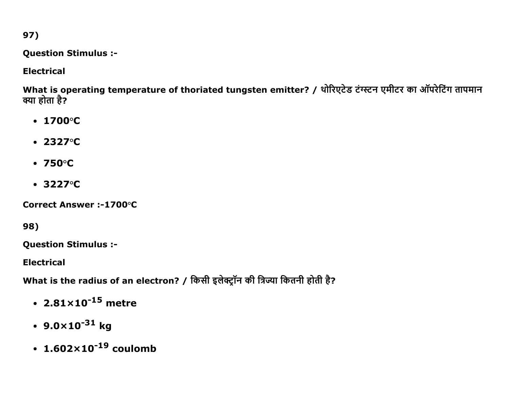97)

**Question Stimulus :-**

## **Electrical**

What is operating temperature of thoriated tungsten emitter? / थोरिएटेड टंग्स्टन एमीटर का ऑपरेटिंग तापमान क्या होता है?

- $\cdot$  1700 $^{\circ}$ C
- $2327°C$
- $\cdot$  750 $\circ$ C
- $\cdot$  3227 $\circ$ C

Correct Answer :-1700°C

98)

**Question Stimulus :-**

**Electrical** 

What is the radius of an electron? / किसी इलेक्ट्रॉन की त्रिज्या कितनी होती है?

- $2.81 \times 10^{-15}$  metre
- $9.0 \times 10^{-31}$  kg
- $1.602 \times 10^{-19}$  coulomb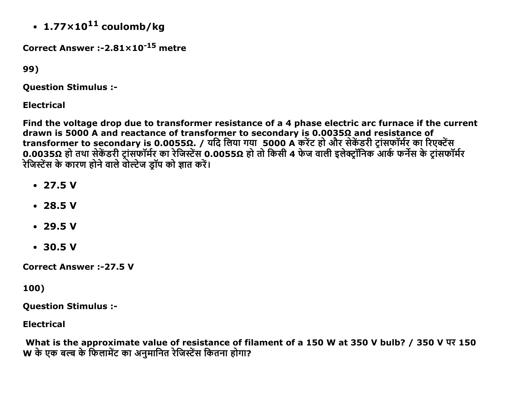• 1.77 $\times$ 10<sup>11</sup> coulomb/kg

Correct Answer :- $2.81 \times 10^{-15}$  metre

99)

**Question Stimulus :-**

**Electrical** 

Find the voltage drop due to transformer resistance of a 4 phase electric arc furnace if the current drawn is 5000 A and reactance of transformer to secondary is 0.00350 and resistance of transformer to secondary is 0.00550. / यदि लिया गया 5000 A करेंट हो और सेकेंडरी ट्रांसफॉर्मर का रिएक्टेंस 0.0035Ω हो तथा सेकेंडरी ट्रांसफॉर्मर का रेजिस्टेंस 0.0055Ω हो तो किसी 4 फेज वाली इलेक्ट्रॉनिक आर्क फर्नेस के ट्रांसफॉर्मर रेजिस्टेंस के कारण होने वाले वोल्टेज ड्रॉप को ज्ञात करें।

- $\cdot$  27.5 V
- $\cdot$  28.5 V
- $-29.5V$
- $-30.5V$

**Correct Answer: -27.5 V** 

100)

**Question Stimulus :-**

**Electrical** 

What is the approximate value of resistance of filament of a 150 W at 350 V bulb? / 350 V  $\overline{w}$  150 W के एक बल्ब के फिलामेंट का अनुमानित रेजिस्टेंस कितना होगा?